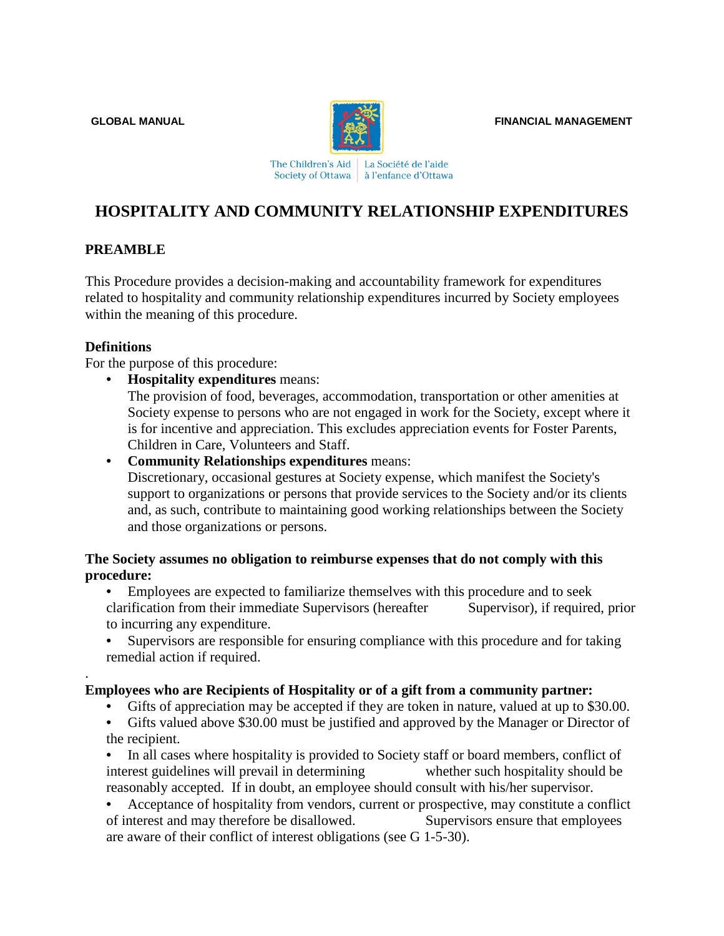**GLOBAL MANUAL FINANCIAL MANAGEMENT**



The Children's Aid | La Société de l'aide<br>Society of Ottawa | à l'enfance d'Ottawa

## **HOSPITALITY AND COMMUNITY RELATIONSHIP EXPENDITURES**

## **PREAMBLE**

This Procedure provides a decision-making and accountability framework for expenditures related to hospitality and community relationship expenditures incurred by Society employees within the meaning of this procedure.

#### **Definitions**

.

For the purpose of this procedure:

• **Hospitality expenditures** means:

The provision of food, beverages, accommodation, transportation or other amenities at Society expense to persons who are not engaged in work for the Society, except where it is for incentive and appreciation. This excludes appreciation events for Foster Parents, Children in Care, Volunteers and Staff.

• **Community Relationships expenditures** means: Discretionary, occasional gestures at Society expense, which manifest the Society's support to organizations or persons that provide services to the Society and/or its clients and, as such, contribute to maintaining good working relationships between the Society and those organizations or persons.

## **The Society assumes no obligation to reimburse expenses that do not comply with this procedure:**

• Employees are expected to familiarize themselves with this procedure and to seek clarification from their immediate Supervisors (hereafter Supervisor), if required, prior to incurring any expenditure.

Supervisors are responsible for ensuring compliance with this procedure and for taking remedial action if required.

## **Employees who are Recipients of Hospitality or of a gift from a community partner:**

- Gifts of appreciation may be accepted if they are token in nature, valued at up to \$30.00.
- Gifts valued above \$30.00 must be justified and approved by the Manager or Director of the recipient.

• In all cases where hospitality is provided to Society staff or board members, conflict of interest guidelines will prevail in determining whether such hospitality should be reasonably accepted. If in doubt, an employee should consult with his/her supervisor.

• Acceptance of hospitality from vendors, current or prospective, may constitute a conflict of interest and may therefore be disallowed. Supervisors ensure that employees are aware of their conflict of interest obligations (see G 1-5-30).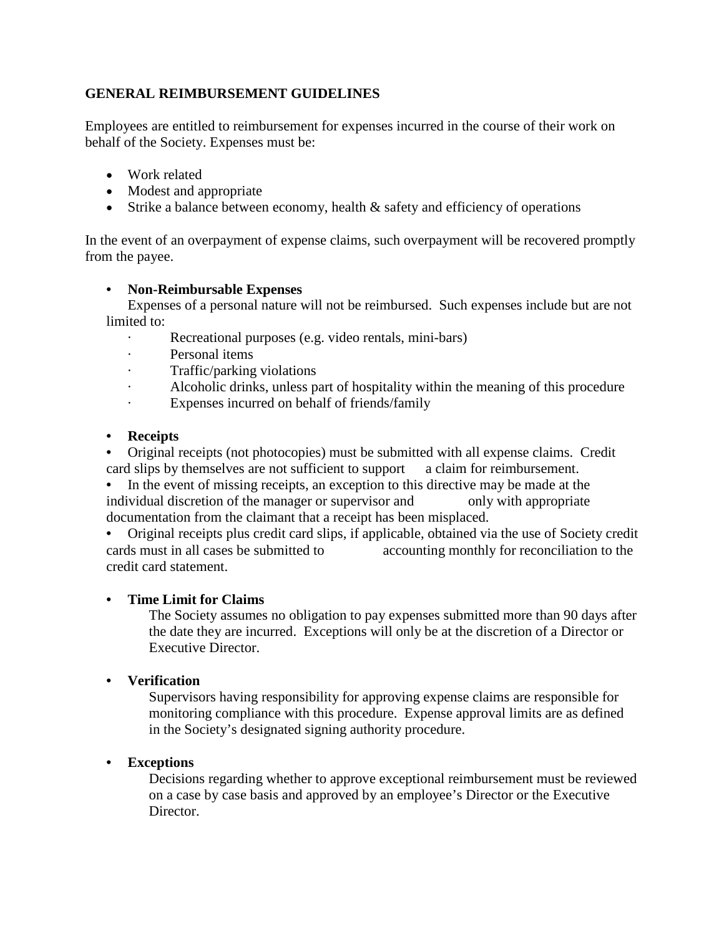## **GENERAL REIMBURSEMENT GUIDELINES**

Employees are entitled to reimbursement for expenses incurred in the course of their work on behalf of the Society. Expenses must be:

- Work related
- Modest and appropriate
- Strike a balance between economy, health & safety and efficiency of operations

In the event of an overpayment of expense claims, such overpayment will be recovered promptly from the payee.

## • **Non-Reimbursable Expenses**

Expenses of a personal nature will not be reimbursed. Such expenses include but are not limited to:

- Recreational purposes (e.g. video rentals, mini-bars)
- · Personal items
- · Traffic/parking violations
- Alcoholic drinks, unless part of hospitality within the meaning of this procedure
- · Expenses incurred on behalf of friends/family

## • **Receipts**

• Original receipts (not photocopies) must be submitted with all expense claims. Credit card slips by themselves are not sufficient to support a claim for reimbursement.

• In the event of missing receipts, an exception to this directive may be made at the individual discretion of the manager or supervisor and only with appropriate documentation from the claimant that a receipt has been misplaced.

• Original receipts plus credit card slips, if applicable, obtained via the use of Society credit cards must in all cases be submitted to accounting monthly for reconciliation to the credit card statement.

## • **Time Limit for Claims**

The Society assumes no obligation to pay expenses submitted more than 90 days after the date they are incurred. Exceptions will only be at the discretion of a Director or Executive Director.

## • **Verification**

Supervisors having responsibility for approving expense claims are responsible for monitoring compliance with this procedure. Expense approval limits are as defined in the Society's designated signing authority procedure.

## • **Exceptions**

Decisions regarding whether to approve exceptional reimbursement must be reviewed on a case by case basis and approved by an employee's Director or the Executive Director.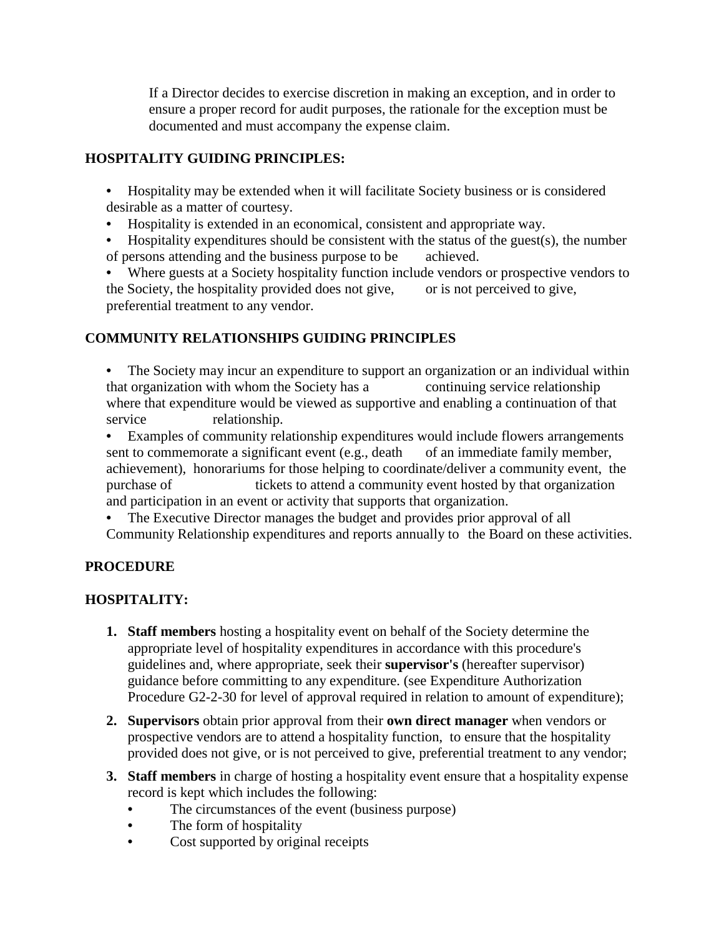If a Director decides to exercise discretion in making an exception, and in order to ensure a proper record for audit purposes, the rationale for the exception must be documented and must accompany the expense claim.

## **HOSPITALITY GUIDING PRINCIPLES:**

- Hospitality may be extended when it will facilitate Society business or is considered desirable as a matter of courtesy.
- Hospitality is extended in an economical, consistent and appropriate way.
- Hospitality expenditures should be consistent with the status of the guest $(s)$ , the number of persons attending and the business purpose to be achieved.
- Where guests at a Society hospitality function include vendors or prospective vendors to the Society, the hospitality provided does not give, or is not perceived to give, preferential treatment to any vendor.

## **COMMUNITY RELATIONSHIPS GUIDING PRINCIPLES**

- The Society may incur an expenditure to support an organization or an individual within that organization with whom the Society has a continuing service relationship where that expenditure would be viewed as supportive and enabling a continuation of that service relationship.
- Examples of community relationship expenditures would include flowers arrangements sent to commemorate a significant event (e.g., death of an immediate family member, achievement), honorariums for those helping to coordinate/deliver a community event, the purchase of tickets to attend a community event hosted by that organization and participation in an event or activity that supports that organization.
- The Executive Director manages the budget and provides prior approval of all Community Relationship expenditures and reports annually to the Board on these activities.

## **PROCEDURE**

## **HOSPITALITY:**

- **1. Staff members** hosting a hospitality event on behalf of the Society determine the appropriate level of hospitality expenditures in accordance with this procedure's guidelines and, where appropriate, seek their **supervisor's** (hereafter supervisor) guidance before committing to any expenditure. (see Expenditure Authorization Procedure G2-2-30 for level of approval required in relation to amount of expenditure);
- **2. Supervisors** obtain prior approval from their **own direct manager** when vendors or prospective vendors are to attend a hospitality function, to ensure that the hospitality provided does not give, or is not perceived to give, preferential treatment to any vendor;
- **3. Staff members** in charge of hosting a hospitality event ensure that a hospitality expense record is kept which includes the following:
	- The circumstances of the event (business purpose)
	- The form of hospitality
	- Cost supported by original receipts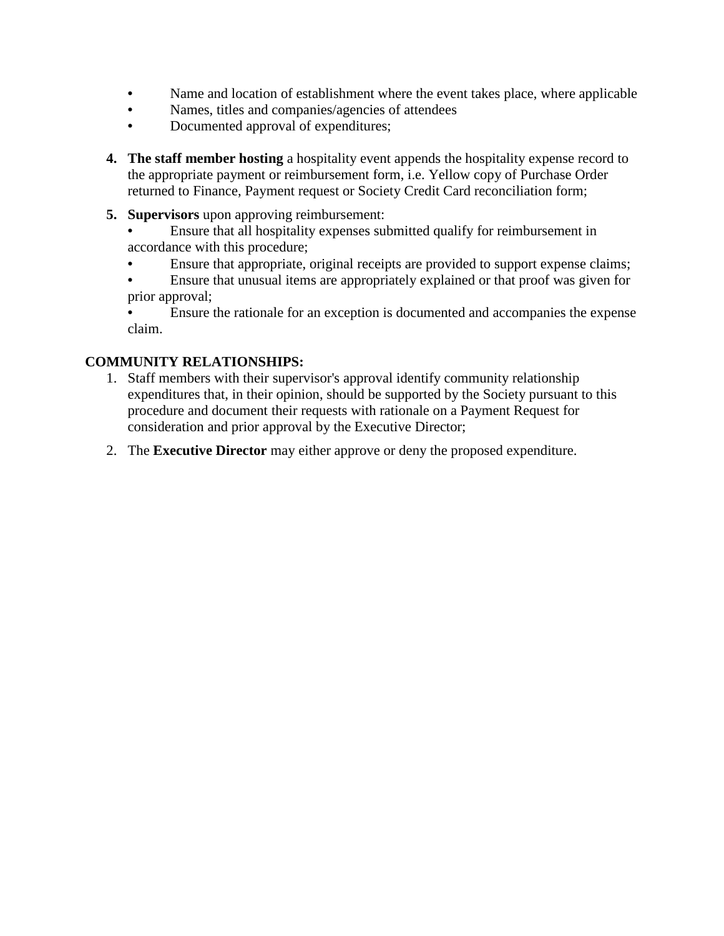- Name and location of establishment where the event takes place, where applicable
- Names, titles and companies/agencies of attendees
- Documented approval of expenditures;
- **4. The staff member hosting** a hospitality event appends the hospitality expense record to the appropriate payment or reimbursement form, i.e. Yellow copy of Purchase Order returned to Finance, Payment request or Society Credit Card reconciliation form;
- **5. Supervisors** upon approving reimbursement:
	- Ensure that all hospitality expenses submitted qualify for reimbursement in accordance with this procedure;
	- Ensure that appropriate, original receipts are provided to support expense claims;
	- Ensure that unusual items are appropriately explained or that proof was given for prior approval;

• Ensure the rationale for an exception is documented and accompanies the expense claim.

## **COMMUNITY RELATIONSHIPS:**

- 1. Staff members with their supervisor's approval identify community relationship expenditures that, in their opinion, should be supported by the Society pursuant to this procedure and document their requests with rationale on a Payment Request for consideration and prior approval by the Executive Director;
- 2. The **Executive Director** may either approve or deny the proposed expenditure.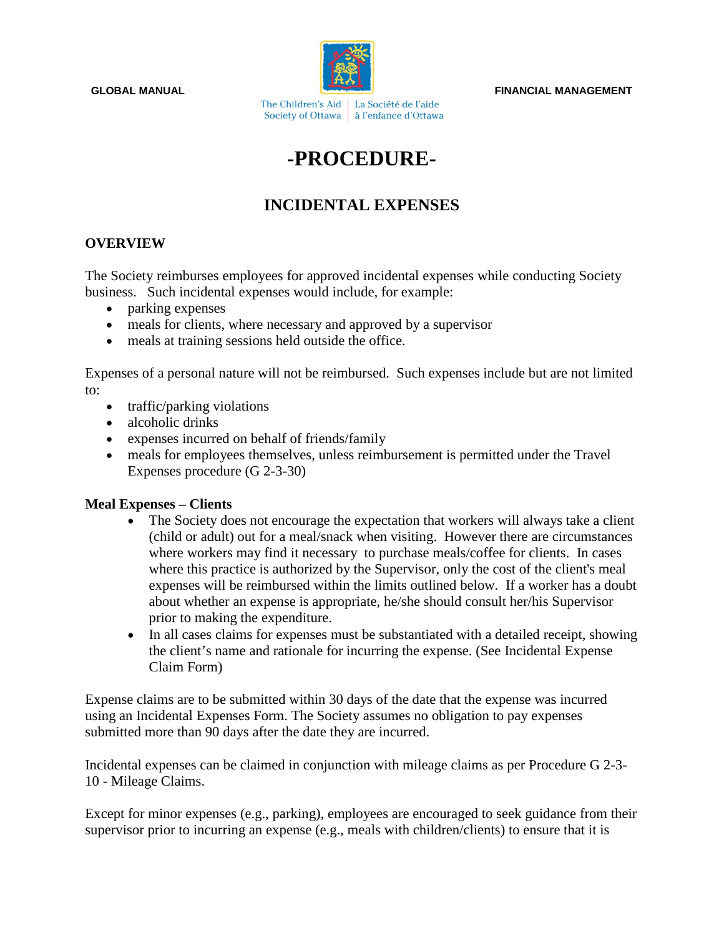

Society of Ottawa | à l'enfance d'Ottawa

**GLOBAL MANUAL FINANCIAL MANAGEMENT**

# **-PROCEDURE-**

## **INCIDENTAL EXPENSES**

## **OVERVIEW**

The Society reimburses employees for approved incidental expenses while conducting Society business. Such incidental expenses would include, for example:

- parking expenses
- meals for clients, where necessary and approved by a supervisor
- meals at training sessions held outside the office.

Expenses of a personal nature will not be reimbursed. Such expenses include but are not limited to:

- traffic/parking violations
- alcoholic drinks
- expenses incurred on behalf of friends/family
- meals for employees themselves, unless reimbursement is permitted under the Travel Expenses procedure (G 2-3-30)

#### **Meal Expenses – Clients**

- The Society does not encourage the expectation that workers will always take a client (child or adult) out for a meal/snack when visiting. However there are circumstances where workers may find it necessary to purchase meals/coffee for clients. In cases where this practice is authorized by the Supervisor, only the cost of the client's meal expenses will be reimbursed within the limits outlined below. If a worker has a doubt about whether an expense is appropriate, he/she should consult her/his Supervisor prior to making the expenditure.
- In all cases claims for expenses must be substantiated with a detailed receipt, showing the client's name and rationale for incurring the expense. (See Incidental Expense Claim Form)

Expense claims are to be submitted within 30 days of the date that the expense was incurred using an Incidental Expenses Form. The Society assumes no obligation to pay expenses submitted more than 90 days after the date they are incurred.

Incidental expenses can be claimed in conjunction with mileage claims as per Procedure G 2-3- 10 - Mileage Claims.

Except for minor expenses (e.g., parking), employees are encouraged to seek guidance from their supervisor prior to incurring an expense (e.g., meals with children/clients) to ensure that it is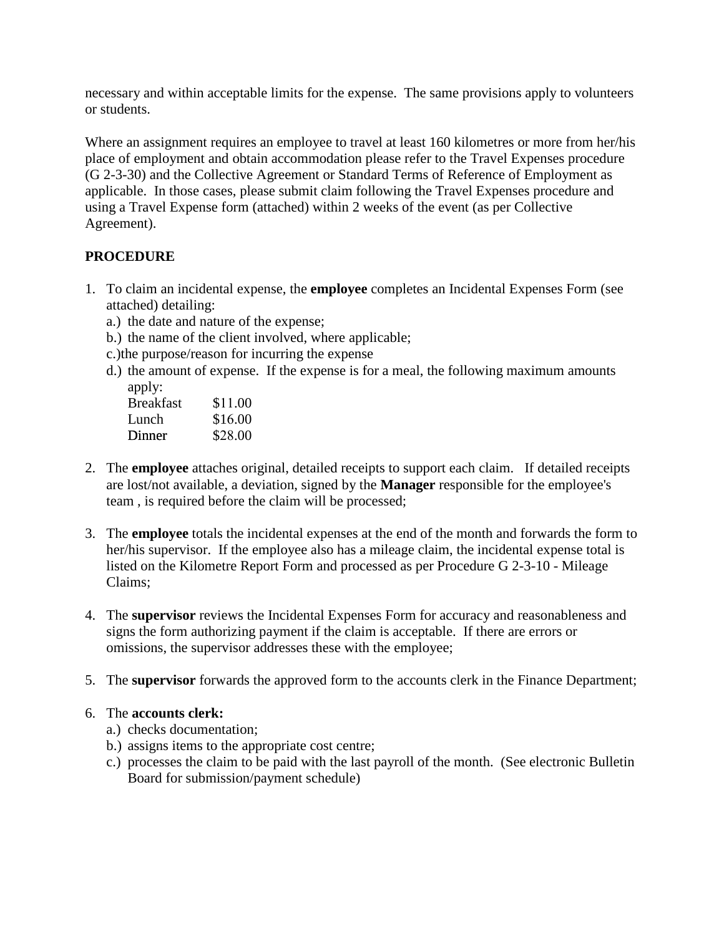necessary and within acceptable limits for the expense. The same provisions apply to volunteers or students.

Where an assignment requires an employee to travel at least 160 kilometres or more from her/his place of employment and obtain accommodation please refer to the Travel Expenses procedure (G 2-3-30) and the Collective Agreement or Standard Terms of Reference of Employment as applicable. In those cases, please submit claim following the Travel Expenses procedure and using a Travel Expense form (attached) within 2 weeks of the event (as per Collective Agreement).

## **PROCEDURE**

- 1. To claim an incidental expense, the **employee** completes an Incidental Expenses Form (see attached) detailing:
	- a.) the date and nature of the expense;
	- b.) the name of the client involved, where applicable;
	- c.)the purpose/reason for incurring the expense
	- d.) the amount of expense. If the expense is for a meal, the following maximum amounts apply:

| <b>Breakfast</b> | \$11.00 |
|------------------|---------|
| Lunch            | \$16.00 |
| Dinner           | \$28.00 |

- 2. The **employee** attaches original, detailed receipts to support each claim. If detailed receipts are lost/not available, a deviation, signed by the **Manager** responsible for the employee's team , is required before the claim will be processed;
- 3. The **employee** totals the incidental expenses at the end of the month and forwards the form to her/his supervisor. If the employee also has a mileage claim, the incidental expense total is listed on the Kilometre Report Form and processed as per Procedure G 2-3-10 - Mileage Claims;
- 4. The **supervisor** reviews the Incidental Expenses Form for accuracy and reasonableness and signs the form authorizing payment if the claim is acceptable. If there are errors or omissions, the supervisor addresses these with the employee;
- 5. The **supervisor** forwards the approved form to the accounts clerk in the Finance Department;

## 6. The **accounts clerk:**

- a.) checks documentation;
- b.) assigns items to the appropriate cost centre;
- c.) processes the claim to be paid with the last payroll of the month. (See electronic Bulletin Board for submission/payment schedule)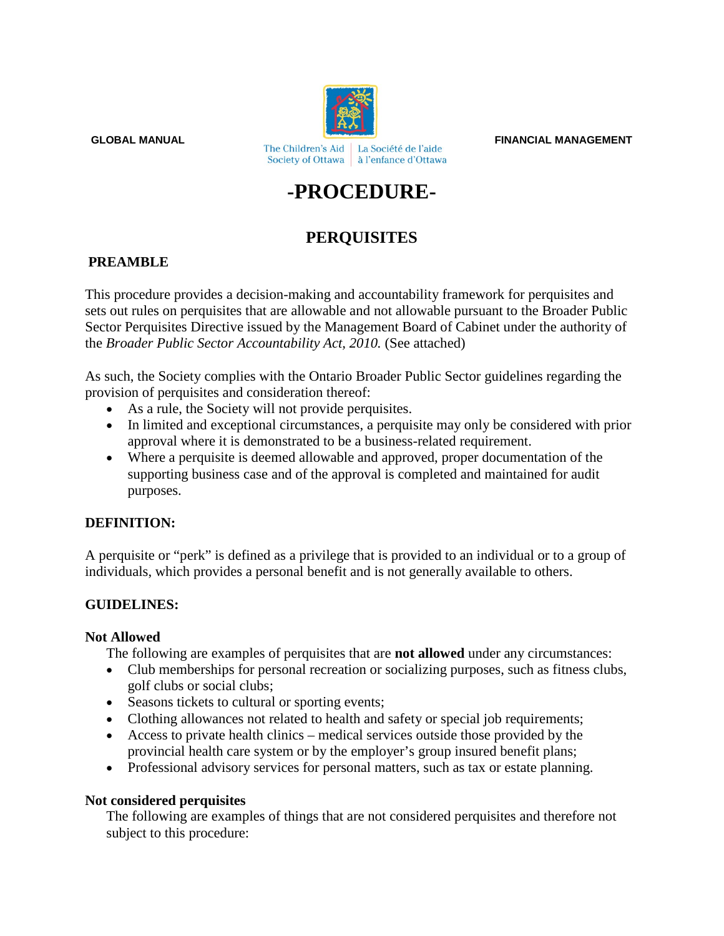

# **-PROCEDURE-**

## **PERQUISITES**

## **PREAMBLE**

This procedure provides a decision-making and accountability framework for perquisites and sets out rules on perquisites that are allowable and not allowable pursuant to the Broader Public Sector Perquisites Directive issued by the Management Board of Cabinet under the authority of the *Broader Public Sector Accountability Act, 2010.* (See attached)

As such, the Society complies with the Ontario Broader Public Sector guidelines regarding the provision of perquisites and consideration thereof:

- As a rule, the Society will not provide perquisites.
- In limited and exceptional circumstances, a perquisite may only be considered with prior approval where it is demonstrated to be a business-related requirement.
- Where a perquisite is deemed allowable and approved, proper documentation of the supporting business case and of the approval is completed and maintained for audit purposes.

#### **DEFINITION:**

A perquisite or "perk" is defined as a privilege that is provided to an individual or to a group of individuals, which provides a personal benefit and is not generally available to others.

## **GUIDELINES:**

#### **Not Allowed**

The following are examples of perquisites that are **not allowed** under any circumstances:

- Club memberships for personal recreation or socializing purposes, such as fitness clubs, golf clubs or social clubs;
- Seasons tickets to cultural or sporting events;
- Clothing allowances not related to health and safety or special job requirements;
- Access to private health clinics medical services outside those provided by the provincial health care system or by the employer's group insured benefit plans;
- Professional advisory services for personal matters, such as tax or estate planning.

#### **Not considered perquisites**

The following are examples of things that are not considered perquisites and therefore not subject to this procedure: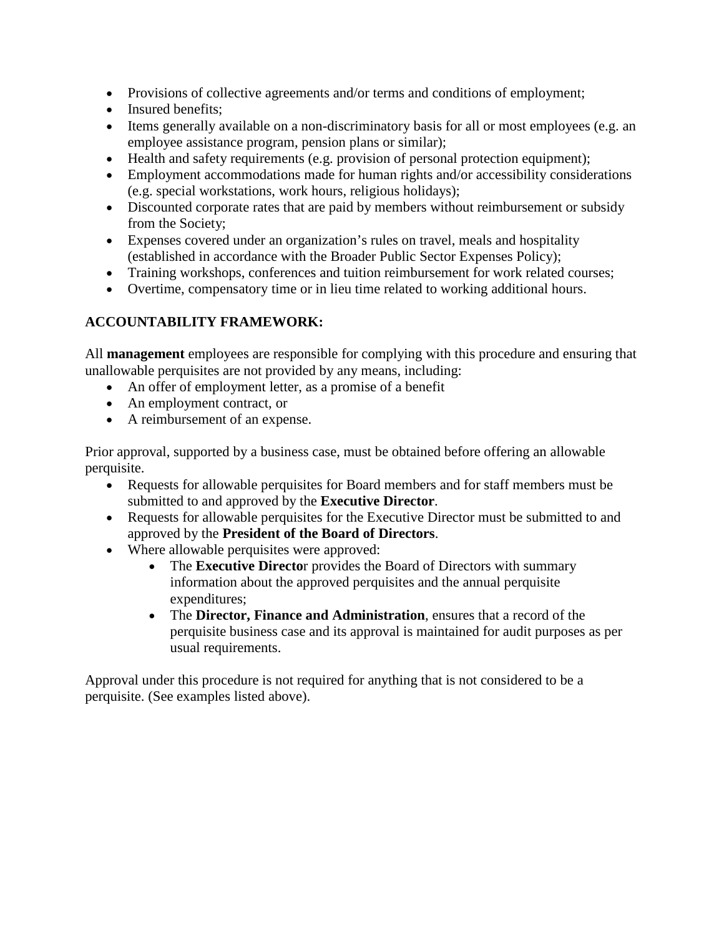- Provisions of collective agreements and/or terms and conditions of employment;
- Insured benefits:
- Items generally available on a non-discriminatory basis for all or most employees (e.g. an employee assistance program, pension plans or similar);
- Health and safety requirements (e.g. provision of personal protection equipment);
- Employment accommodations made for human rights and/or accessibility considerations (e.g. special workstations, work hours, religious holidays);
- Discounted corporate rates that are paid by members without reimbursement or subsidy from the Society;
- Expenses covered under an organization's rules on travel, meals and hospitality (established in accordance with the Broader Public Sector Expenses Policy);
- Training workshops, conferences and tuition reimbursement for work related courses;
- Overtime, compensatory time or in lieu time related to working additional hours.

## **ACCOUNTABILITY FRAMEWORK:**

All **management** employees are responsible for complying with this procedure and ensuring that unallowable perquisites are not provided by any means, including:

- An offer of employment letter, as a promise of a benefit
- An employment contract, or
- A reimbursement of an expense.

Prior approval, supported by a business case, must be obtained before offering an allowable perquisite.

- Requests for allowable perquisites for Board members and for staff members must be submitted to and approved by the **Executive Director**.
- Requests for allowable perquisites for the Executive Director must be submitted to and approved by the **President of the Board of Directors**.
- Where allowable perquisites were approved:
	- The **Executive Directo**r provides the Board of Directors with summary information about the approved perquisites and the annual perquisite expenditures;
	- The **Director, Finance and Administration**, ensures that a record of the perquisite business case and its approval is maintained for audit purposes as per usual requirements.

Approval under this procedure is not required for anything that is not considered to be a perquisite. (See examples listed above).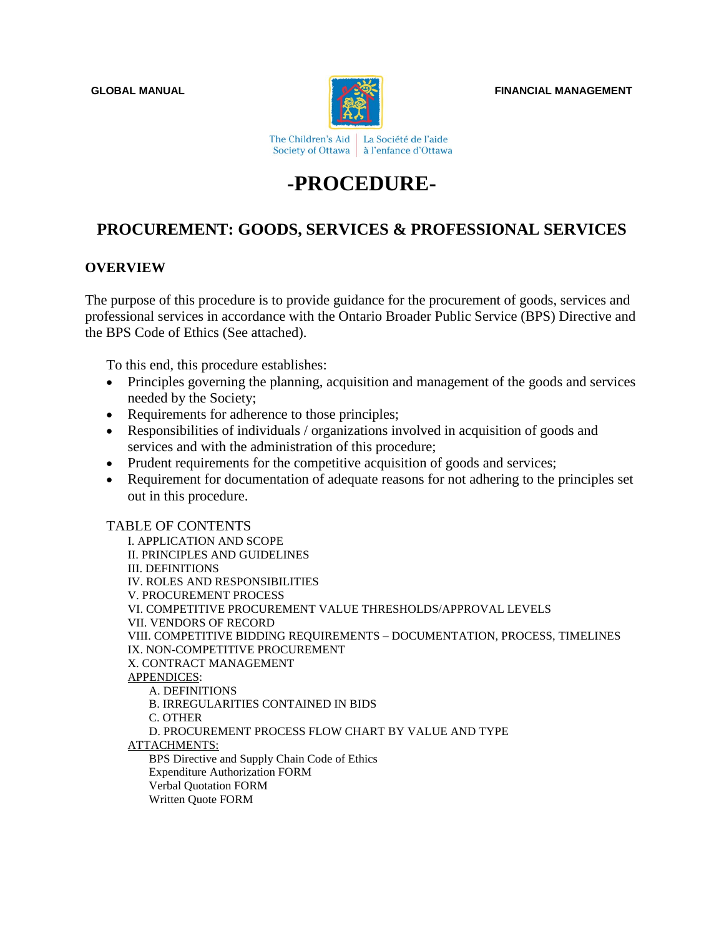

The Children's Aid | La Société de l'aide<br>Society of Ottawa | à l'enfance d'Ottawa

# **-PROCEDURE-**

## **PROCUREMENT: GOODS, SERVICES & PROFESSIONAL SERVICES**

#### **OVERVIEW**

The purpose of this procedure is to provide guidance for the procurement of goods, services and professional services in accordance with the Ontario Broader Public Service (BPS) Directive and the BPS Code of Ethics (See attached).

To this end, this procedure establishes:

- Principles governing the planning, acquisition and management of the goods and services needed by the Society;
- Requirements for adherence to those principles;
- Responsibilities of individuals / organizations involved in acquisition of goods and services and with the administration of this procedure;
- Prudent requirements for the competitive acquisition of goods and services;
- Requirement for documentation of adequate reasons for not adhering to the principles set out in this procedure.

#### TABLE OF CONTENTS

I. APPLICATION AND SCOPE II. PRINCIPLES AND GUIDELINES III. DEFINITIONS IV. ROLES AND RESPONSIBILITIES V. PROCUREMENT PROCESS VI. COMPETITIVE PROCUREMENT VALUE THRESHOLDS/APPROVAL LEVELS VII. VENDORS OF RECORD VIII. COMPETITIVE BIDDING REQUIREMENTS – DOCUMENTATION, PROCESS, TIMELINES IX. NON-COMPETITIVE PROCUREMENT X. CONTRACT MANAGEMENT APPENDICES: A. DEFINITIONS B. IRREGULARITIES CONTAINED IN BIDS C. OTHER D. PROCUREMENT PROCESS FLOW CHART BY VALUE AND TYPE ATTACHMENTS: BPS Directive and Supply Chain Code of Ethics Expenditure Authorization FORM Verbal Quotation FORM Written Quote FORM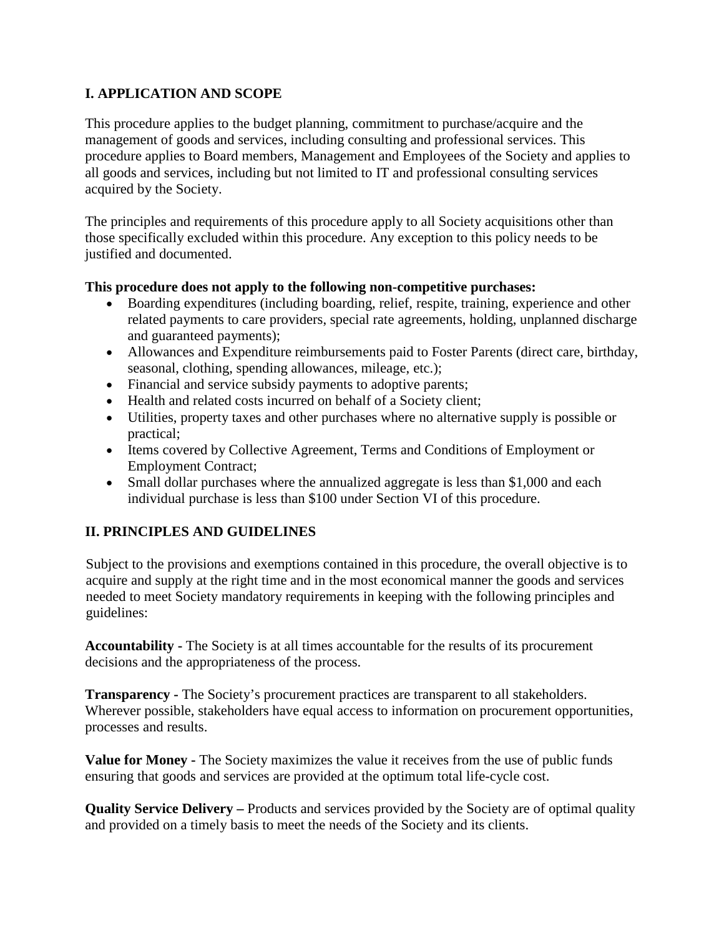## **I. APPLICATION AND SCOPE**

This procedure applies to the budget planning, commitment to purchase/acquire and the management of goods and services, including consulting and professional services. This procedure applies to Board members, Management and Employees of the Society and applies to all goods and services, including but not limited to IT and professional consulting services acquired by the Society.

The principles and requirements of this procedure apply to all Society acquisitions other than those specifically excluded within this procedure. Any exception to this policy needs to be justified and documented.

## **This procedure does not apply to the following non-competitive purchases:**

- Boarding expenditures (including boarding, relief, respite, training, experience and other related payments to care providers, special rate agreements, holding, unplanned discharge and guaranteed payments);
- Allowances and Expenditure reimbursements paid to Foster Parents (direct care, birthday, seasonal, clothing, spending allowances, mileage, etc.);
- Financial and service subsidy payments to adoptive parents;
- Health and related costs incurred on behalf of a Society client;
- Utilities, property taxes and other purchases where no alternative supply is possible or practical;
- Items covered by Collective Agreement, Terms and Conditions of Employment or Employment Contract;
- Small dollar purchases where the annualized aggregate is less than \$1,000 and each individual purchase is less than \$100 under Section VI of this procedure.

## **II. PRINCIPLES AND GUIDELINES**

Subject to the provisions and exemptions contained in this procedure, the overall objective is to acquire and supply at the right time and in the most economical manner the goods and services needed to meet Society mandatory requirements in keeping with the following principles and guidelines:

**Accountability -** The Society is at all times accountable for the results of its procurement decisions and the appropriateness of the process.

**Transparency -** The Society's procurement practices are transparent to all stakeholders. Wherever possible, stakeholders have equal access to information on procurement opportunities, processes and results.

**Value for Money -** The Society maximizes the value it receives from the use of public funds ensuring that goods and services are provided at the optimum total life-cycle cost.

**Quality Service Delivery** – Products and services provided by the Society are of optimal quality and provided on a timely basis to meet the needs of the Society and its clients.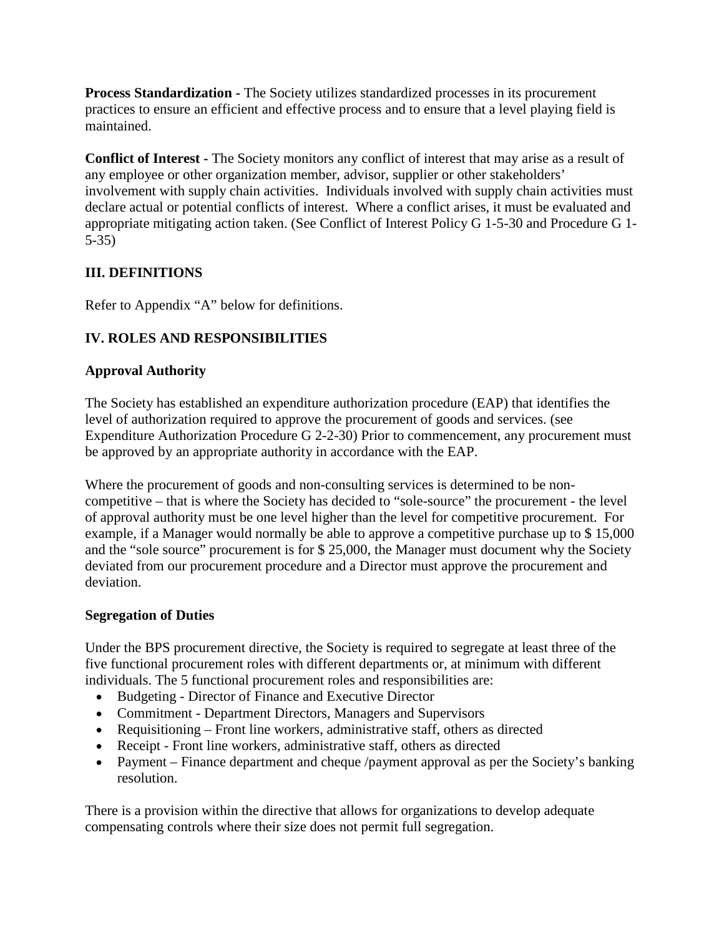**Process Standardization -** The Society utilizes standardized processes in its procurement practices to ensure an efficient and effective process and to ensure that a level playing field is maintained.

**Conflict of Interest -** The Society monitors any conflict of interest that may arise as a result of any employee or other organization member, advisor, supplier or other stakeholders' involvement with supply chain activities. Individuals involved with supply chain activities must declare actual or potential conflicts of interest. Where a conflict arises, it must be evaluated and appropriate mitigating action taken. (See Conflict of Interest Policy G 1-5-30 and Procedure G 1- 5-35)

## **III. DEFINITIONS**

Refer to Appendix "A" below for definitions.

## **IV. ROLES AND RESPONSIBILITIES**

## **Approval Authority**

The Society has established an expenditure authorization procedure (EAP) that identifies the level of authorization required to approve the procurement of goods and services. (see Expenditure Authorization Procedure G 2-2-30) Prior to commencement, any procurement must be approved by an appropriate authority in accordance with the EAP.

Where the procurement of goods and non-consulting services is determined to be noncompetitive – that is where the Society has decided to "sole-source" the procurement - the level of approval authority must be one level higher than the level for competitive procurement. For example, if a Manager would normally be able to approve a competitive purchase up to \$ 15,000 and the "sole source" procurement is for \$ 25,000, the Manager must document why the Society deviated from our procurement procedure and a Director must approve the procurement and deviation.

## **Segregation of Duties**

Under the BPS procurement directive, the Society is required to segregate at least three of the five functional procurement roles with different departments or, at minimum with different individuals. The 5 functional procurement roles and responsibilities are:

- Budgeting Director of Finance and Executive Director
- Commitment Department Directors, Managers and Supervisors
- Requisitioning Front line workers, administrative staff, others as directed
- Receipt Front line workers, administrative staff, others as directed
- Payment Finance department and cheque /payment approval as per the Society's banking resolution.

There is a provision within the directive that allows for organizations to develop adequate compensating controls where their size does not permit full segregation.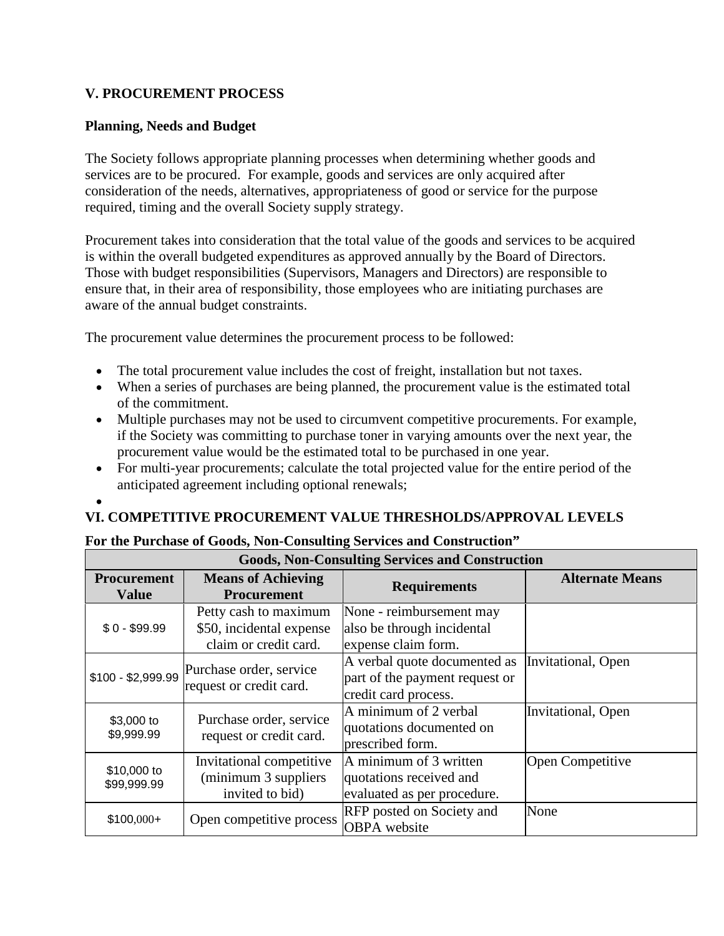## **V. PROCUREMENT PROCESS**

## **Planning, Needs and Budget**

The Society follows appropriate planning processes when determining whether goods and services are to be procured. For example, goods and services are only acquired after consideration of the needs, alternatives, appropriateness of good or service for the purpose required, timing and the overall Society supply strategy.

Procurement takes into consideration that the total value of the goods and services to be acquired is within the overall budgeted expenditures as approved annually by the Board of Directors. Those with budget responsibilities (Supervisors, Managers and Directors) are responsible to ensure that, in their area of responsibility, those employees who are initiating purchases are aware of the annual budget constraints.

The procurement value determines the procurement process to be followed:

- The total procurement value includes the cost of freight, installation but not taxes.
- When a series of purchases are being planned, the procurement value is the estimated total of the commitment.
- Multiple purchases may not be used to circumvent competitive procurements. For example, if the Society was committing to purchase toner in varying amounts over the next year, the procurement value would be the estimated total to be purchased in one year.
- For multi-year procurements; calculate the total projected value for the entire period of the anticipated agreement including optional renewals;

#### • **VI. COMPETITIVE PROCUREMENT VALUE THRESHOLDS/APPROVAL LEVELS**

## **For the Purchase of Goods, Non-Consulting Services and Construction"**

| Goods, ivon-Consulting Services and Construction |                                                                      |                                                                                        |                         |
|--------------------------------------------------|----------------------------------------------------------------------|----------------------------------------------------------------------------------------|-------------------------|
| <b>Procurement</b><br><b>Value</b>               | <b>Means of Achieving</b><br><b>Procurement</b>                      | <b>Requirements</b>                                                                    | <b>Alternate Means</b>  |
|                                                  | Petty cash to maximum                                                | None - reimbursement may                                                               |                         |
| $$0 - $99.99$                                    | \$50, incidental expense                                             | also be through incidental                                                             |                         |
| claim or credit card.                            |                                                                      | expense claim form.                                                                    |                         |
| \$100 - \$2,999.99                               | Purchase order, service<br>request or credit card.                   | A verbal quote documented as<br>part of the payment request or<br>credit card process. | Invitational, Open      |
| \$3,000 to<br>\$9,999.99                         | Purchase order, service<br>request or credit card.                   | A minimum of 2 verbal<br>quotations documented on<br>prescribed form.                  | Invitational, Open      |
| \$10,000 to<br>\$99,999.99                       | Invitational competitive<br>(minimum 3 suppliers)<br>invited to bid) | A minimum of 3 written<br>quotations received and<br>evaluated as per procedure.       | <b>Open Competitive</b> |
| $$100,000+$                                      | Open competitive process                                             | <b>RFP</b> posted on Society and<br><b>OBPA</b> website                                | None                    |

**Goods, Non-Consulting Services and Construction**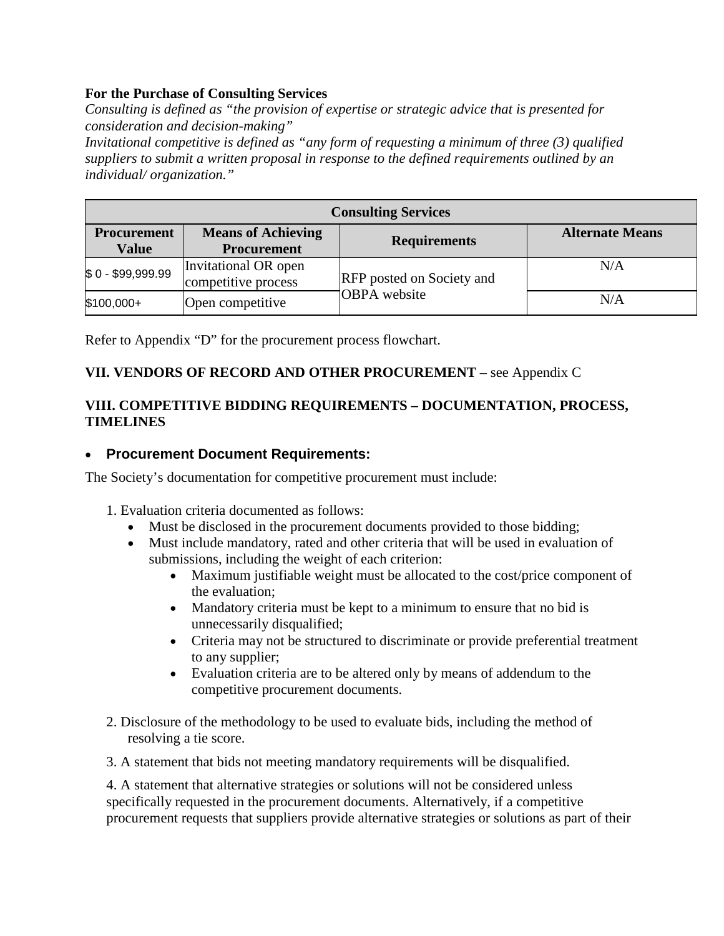## **For the Purchase of Consulting Services**

*Consulting is defined as "the provision of expertise or strategic advice that is presented for consideration and decision-making"*

*Invitational competitive is defined as "any form of requesting a minimum of three (3) qualified suppliers to submit a written proposal in response to the defined requirements outlined by an individual/ organization."* 

| <b>Consulting Services</b>         |                                                 |                                  |                        |
|------------------------------------|-------------------------------------------------|----------------------------------|------------------------|
| <b>Procurement</b><br><b>Value</b> | <b>Means of Achieving</b><br><b>Procurement</b> | <b>Requirements</b>              | <b>Alternate Means</b> |
| \$0-\$99,999.99                    | Invitational OR open<br>competitive process     | <b>RFP</b> posted on Society and | N/A                    |
| \$100,000+                         | Open competitive                                | <b>OBPA</b> website              | N/A                    |

Refer to Appendix "D" for the procurement process flowchart.

## **VII. VENDORS OF RECORD AND OTHER PROCUREMENT** – see Appendix C

## **VIII. COMPETITIVE BIDDING REQUIREMENTS – DOCUMENTATION, PROCESS, TIMELINES**

## • **Procurement Document Requirements:**

The Society's documentation for competitive procurement must include:

- 1. Evaluation criteria documented as follows:
	- Must be disclosed in the procurement documents provided to those bidding;
	- Must include mandatory, rated and other criteria that will be used in evaluation of submissions, including the weight of each criterion:
		- Maximum justifiable weight must be allocated to the cost/price component of the evaluation;
		- Mandatory criteria must be kept to a minimum to ensure that no bid is unnecessarily disqualified;
		- Criteria may not be structured to discriminate or provide preferential treatment to any supplier;
		- Evaluation criteria are to be altered only by means of addendum to the competitive procurement documents.
- 2. Disclosure of the methodology to be used to evaluate bids, including the method of resolving a tie score.
- 3. A statement that bids not meeting mandatory requirements will be disqualified.

4. A statement that alternative strategies or solutions will not be considered unless specifically requested in the procurement documents. Alternatively, if a competitive procurement requests that suppliers provide alternative strategies or solutions as part of their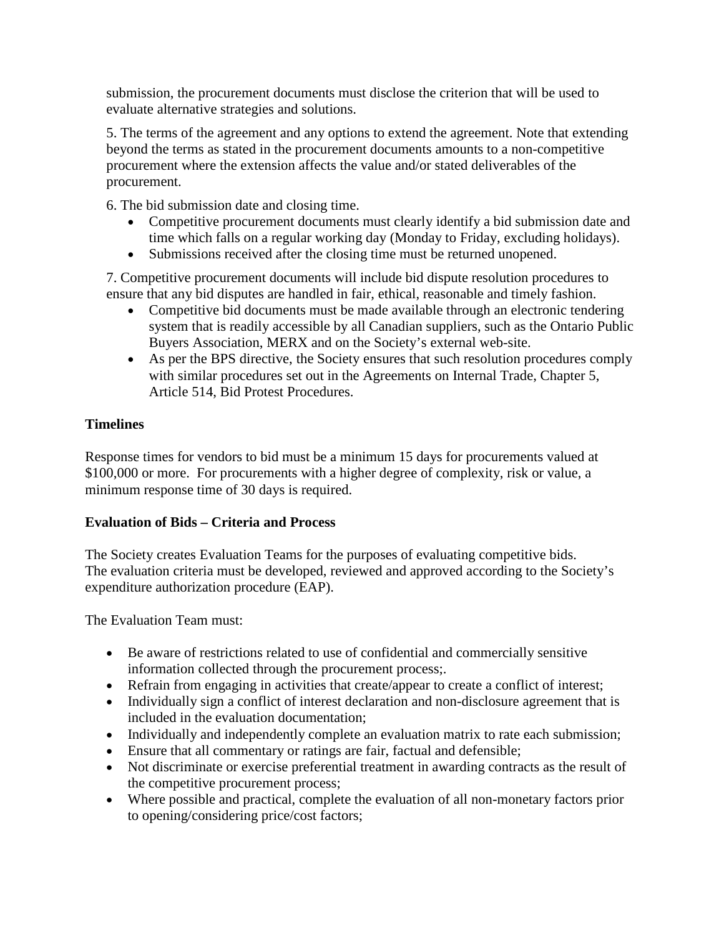submission, the procurement documents must disclose the criterion that will be used to evaluate alternative strategies and solutions.

5. The terms of the agreement and any options to extend the agreement. Note that extending beyond the terms as stated in the procurement documents amounts to a non-competitive procurement where the extension affects the value and/or stated deliverables of the procurement.

6. The bid submission date and closing time.

- Competitive procurement documents must clearly identify a bid submission date and time which falls on a regular working day (Monday to Friday, excluding holidays).
- Submissions received after the closing time must be returned unopened.

7. Competitive procurement documents will include bid dispute resolution procedures to ensure that any bid disputes are handled in fair, ethical, reasonable and timely fashion.

- Competitive bid documents must be made available through an electronic tendering system that is readily accessible by all Canadian suppliers, such as the Ontario Public Buyers Association, MERX and on the Society's external web-site.
- As per the BPS directive, the Society ensures that such resolution procedures comply with similar procedures set out in the Agreements on Internal Trade, Chapter 5, Article 514, Bid Protest Procedures.

## **Timelines**

Response times for vendors to bid must be a minimum 15 days for procurements valued at \$100,000 or more. For procurements with a higher degree of complexity, risk or value, a minimum response time of 30 days is required.

## **Evaluation of Bids – Criteria and Process**

The Society creates Evaluation Teams for the purposes of evaluating competitive bids. The evaluation criteria must be developed, reviewed and approved according to the Society's expenditure authorization procedure (EAP).

The Evaluation Team must:

- Be aware of restrictions related to use of confidential and commercially sensitive information collected through the procurement process;.
- Refrain from engaging in activities that create/appear to create a conflict of interest;
- Individually sign a conflict of interest declaration and non-disclosure agreement that is included in the evaluation documentation;
- Individually and independently complete an evaluation matrix to rate each submission;
- Ensure that all commentary or ratings are fair, factual and defensible;
- Not discriminate or exercise preferential treatment in awarding contracts as the result of the competitive procurement process;
- Where possible and practical, complete the evaluation of all non-monetary factors prior to opening/considering price/cost factors;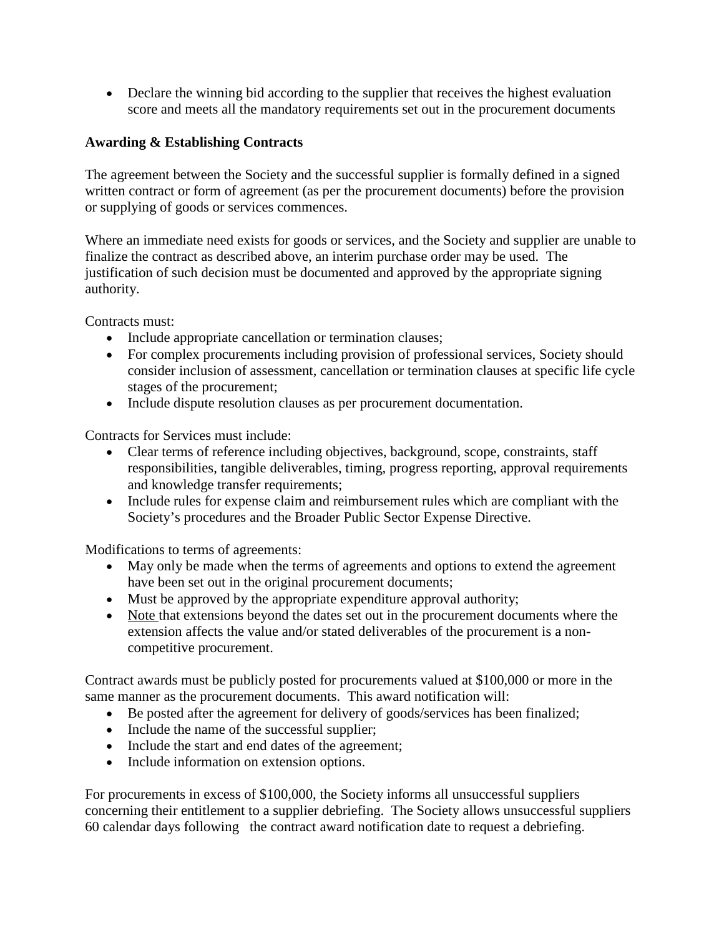• Declare the winning bid according to the supplier that receives the highest evaluation score and meets all the mandatory requirements set out in the procurement documents

## **Awarding & Establishing Contracts**

The agreement between the Society and the successful supplier is formally defined in a signed written contract or form of agreement (as per the procurement documents) before the provision or supplying of goods or services commences.

Where an immediate need exists for goods or services, and the Society and supplier are unable to finalize the contract as described above, an interim purchase order may be used. The justification of such decision must be documented and approved by the appropriate signing authority.

Contracts must:

- Include appropriate cancellation or termination clauses;
- For complex procurements including provision of professional services, Society should consider inclusion of assessment, cancellation or termination clauses at specific life cycle stages of the procurement;
- Include dispute resolution clauses as per procurement documentation.

Contracts for Services must include:

- Clear terms of reference including objectives, background, scope, constraints, staff responsibilities, tangible deliverables, timing, progress reporting, approval requirements and knowledge transfer requirements;
- Include rules for expense claim and reimbursement rules which are compliant with the Society's procedures and the Broader Public Sector Expense Directive.

Modifications to terms of agreements:

- May only be made when the terms of agreements and options to extend the agreement have been set out in the original procurement documents;
- Must be approved by the appropriate expenditure approval authority;
- Note that extensions beyond the dates set out in the procurement documents where the extension affects the value and/or stated deliverables of the procurement is a noncompetitive procurement.

Contract awards must be publicly posted for procurements valued at \$100,000 or more in the same manner as the procurement documents. This award notification will:

- Be posted after the agreement for delivery of goods/services has been finalized;
- Include the name of the successful supplier;
- Include the start and end dates of the agreement;
- Include information on extension options.

For procurements in excess of \$100,000, the Society informs all unsuccessful suppliers concerning their entitlement to a supplier debriefing. The Society allows unsuccessful suppliers 60 calendar days following the contract award notification date to request a debriefing.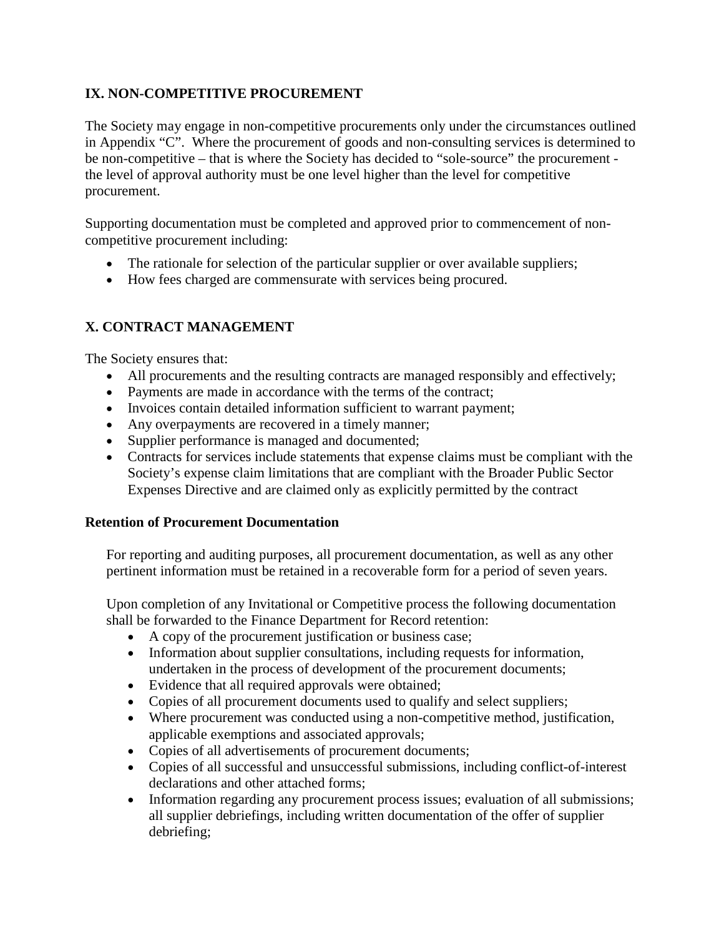## **IX. NON-COMPETITIVE PROCUREMENT**

The Society may engage in non-competitive procurements only under the circumstances outlined in Appendix "C". Where the procurement of goods and non-consulting services is determined to be non-competitive – that is where the Society has decided to "sole-source" the procurement the level of approval authority must be one level higher than the level for competitive procurement.

Supporting documentation must be completed and approved prior to commencement of noncompetitive procurement including:

- The rationale for selection of the particular supplier or over available suppliers;
- How fees charged are commensurate with services being procured.

## **X. CONTRACT MANAGEMENT**

The Society ensures that:

- All procurements and the resulting contracts are managed responsibly and effectively;
- Payments are made in accordance with the terms of the contract;
- Invoices contain detailed information sufficient to warrant payment;
- Any overpayments are recovered in a timely manner;
- Supplier performance is managed and documented;
- Contracts for services include statements that expense claims must be compliant with the Society's expense claim limitations that are compliant with the Broader Public Sector Expenses Directive and are claimed only as explicitly permitted by the contract

## **Retention of Procurement Documentation**

For reporting and auditing purposes, all procurement documentation, as well as any other pertinent information must be retained in a recoverable form for a period of seven years.

Upon completion of any Invitational or Competitive process the following documentation shall be forwarded to the Finance Department for Record retention:

- A copy of the procurement justification or business case;
- Information about supplier consultations, including requests for information, undertaken in the process of development of the procurement documents;
- Evidence that all required approvals were obtained;
- Copies of all procurement documents used to qualify and select suppliers;
- Where procurement was conducted using a non-competitive method, justification, applicable exemptions and associated approvals;
- Copies of all advertisements of procurement documents;
- Copies of all successful and unsuccessful submissions, including conflict-of-interest declarations and other attached forms;
- Information regarding any procurement process issues; evaluation of all submissions; all supplier debriefings, including written documentation of the offer of supplier debriefing;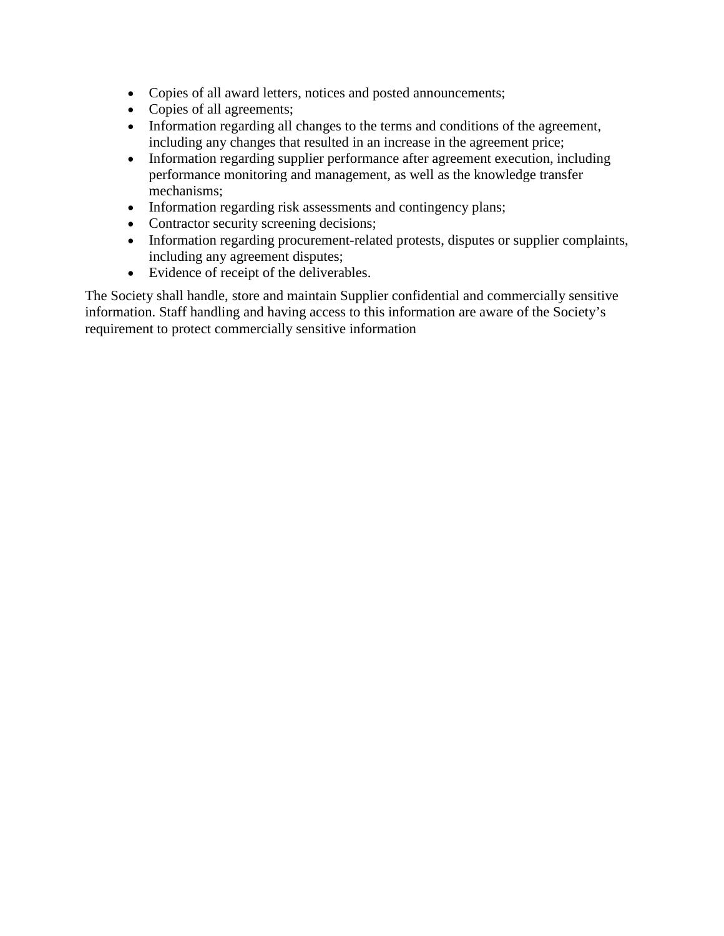- Copies of all award letters, notices and posted announcements;
- Copies of all agreements;
- Information regarding all changes to the terms and conditions of the agreement, including any changes that resulted in an increase in the agreement price;
- Information regarding supplier performance after agreement execution, including performance monitoring and management, as well as the knowledge transfer mechanisms;
- Information regarding risk assessments and contingency plans;
- Contractor security screening decisions;
- Information regarding procurement-related protests, disputes or supplier complaints, including any agreement disputes;
- Evidence of receipt of the deliverables.

The Society shall handle, store and maintain Supplier confidential and commercially sensitive information. Staff handling and having access to this information are aware of the Society's requirement to protect commercially sensitive information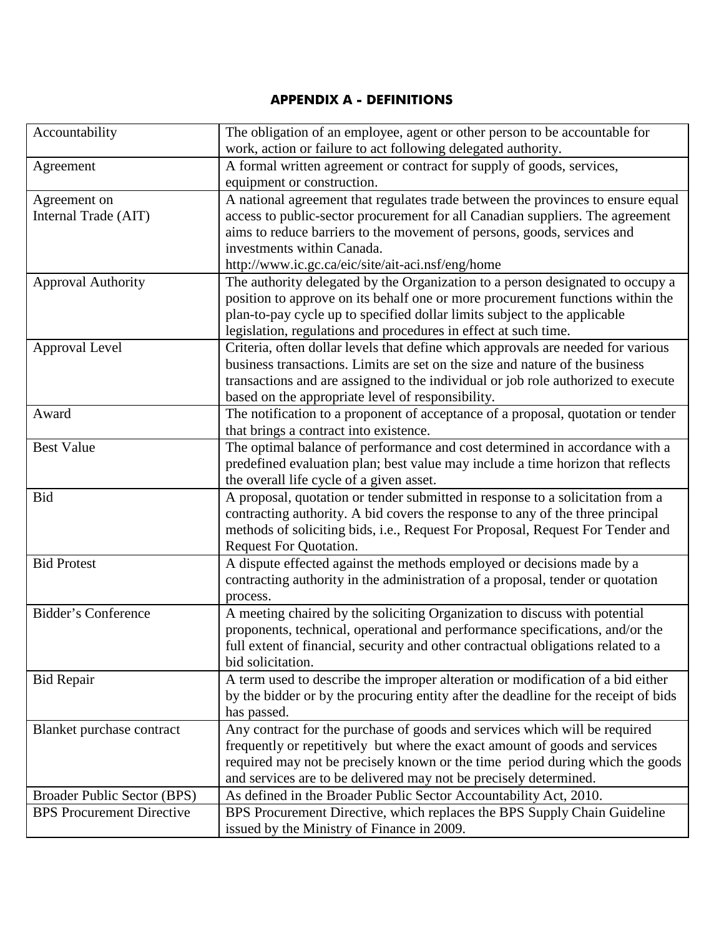## **APPENDIX A - DEFINITIONS**

| Accountability                   | The obligation of an employee, agent or other person to be accountable for          |  |
|----------------------------------|-------------------------------------------------------------------------------------|--|
|                                  | work, action or failure to act following delegated authority.                       |  |
| Agreement                        | A formal written agreement or contract for supply of goods, services,               |  |
|                                  | equipment or construction.                                                          |  |
| Agreement on                     | A national agreement that regulates trade between the provinces to ensure equal     |  |
| Internal Trade (AIT)             | access to public-sector procurement for all Canadian suppliers. The agreement       |  |
|                                  | aims to reduce barriers to the movement of persons, goods, services and             |  |
|                                  | investments within Canada.                                                          |  |
|                                  | http://www.ic.gc.ca/eic/site/ait-aci.nsf/eng/home                                   |  |
| <b>Approval Authority</b>        | The authority delegated by the Organization to a person designated to occupy a      |  |
|                                  | position to approve on its behalf one or more procurement functions within the      |  |
|                                  | plan-to-pay cycle up to specified dollar limits subject to the applicable           |  |
|                                  | legislation, regulations and procedures in effect at such time.                     |  |
| Approval Level                   | Criteria, often dollar levels that define which approvals are needed for various    |  |
|                                  | business transactions. Limits are set on the size and nature of the business        |  |
|                                  | transactions and are assigned to the individual or job role authorized to execute   |  |
|                                  | based on the appropriate level of responsibility.                                   |  |
| Award                            | The notification to a proponent of acceptance of a proposal, quotation or tender    |  |
|                                  | that brings a contract into existence.                                              |  |
| <b>Best Value</b>                | The optimal balance of performance and cost determined in accordance with a         |  |
|                                  | predefined evaluation plan; best value may include a time horizon that reflects     |  |
|                                  | the overall life cycle of a given asset.                                            |  |
| <b>Bid</b>                       | A proposal, quotation or tender submitted in response to a solicitation from a      |  |
|                                  | contracting authority. A bid covers the response to any of the three principal      |  |
|                                  | methods of soliciting bids, i.e., Request For Proposal, Request For Tender and      |  |
|                                  | <b>Request For Quotation.</b>                                                       |  |
| <b>Bid Protest</b>               | A dispute effected against the methods employed or decisions made by a              |  |
|                                  | contracting authority in the administration of a proposal, tender or quotation      |  |
|                                  | process.                                                                            |  |
| <b>Bidder's Conference</b>       | A meeting chaired by the soliciting Organization to discuss with potential          |  |
|                                  | proponents, technical, operational and performance specifications, and/or the       |  |
|                                  | full extent of financial, security and other contractual obligations related to a   |  |
|                                  | bid solicitation.                                                                   |  |
| <b>Bid Repair</b>                | A term used to describe the improper alteration or modification of a bid either     |  |
|                                  | by the bidder or by the procuring entity after the deadline for the receipt of bids |  |
|                                  | has passed.                                                                         |  |
| Blanket purchase contract        | Any contract for the purchase of goods and services which will be required          |  |
|                                  | frequently or repetitively but where the exact amount of goods and services         |  |
|                                  | required may not be precisely known or the time period during which the goods       |  |
|                                  | and services are to be delivered may not be precisely determined.                   |  |
| Broader Public Sector (BPS)      | As defined in the Broader Public Sector Accountability Act, 2010.                   |  |
| <b>BPS</b> Procurement Directive | BPS Procurement Directive, which replaces the BPS Supply Chain Guideline            |  |
|                                  | issued by the Ministry of Finance in 2009.                                          |  |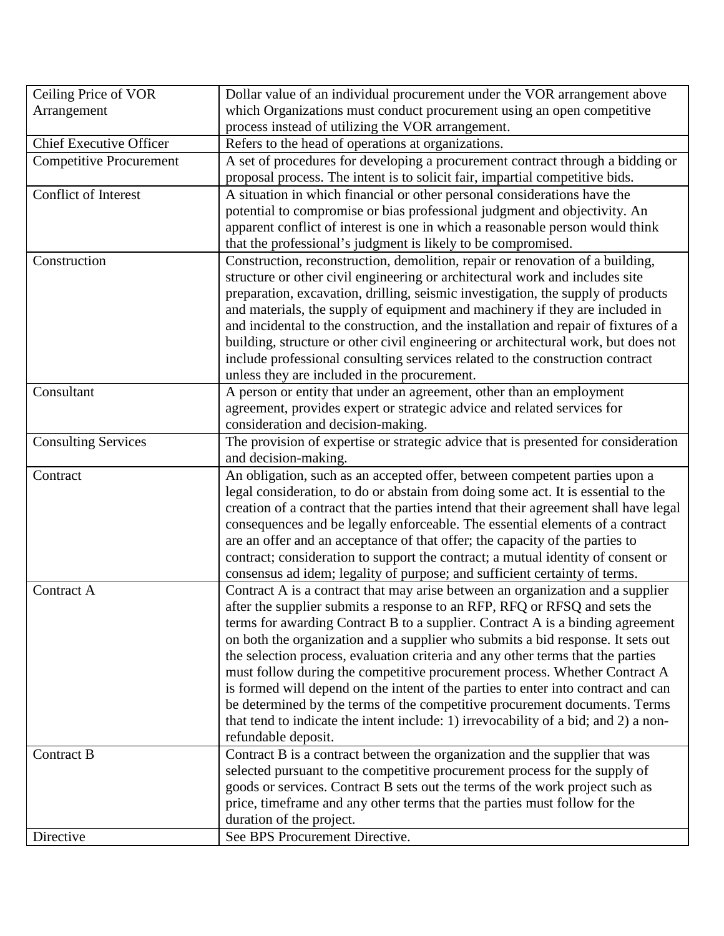| Ceiling Price of VOR           | Dollar value of an individual procurement under the VOR arrangement above            |  |
|--------------------------------|--------------------------------------------------------------------------------------|--|
| Arrangement                    | which Organizations must conduct procurement using an open competitive               |  |
|                                | process instead of utilizing the VOR arrangement.                                    |  |
| <b>Chief Executive Officer</b> | Refers to the head of operations at organizations.                                   |  |
| <b>Competitive Procurement</b> | A set of procedures for developing a procurement contract through a bidding or       |  |
|                                | proposal process. The intent is to solicit fair, impartial competitive bids.         |  |
| Conflict of Interest           | A situation in which financial or other personal considerations have the             |  |
|                                | potential to compromise or bias professional judgment and objectivity. An            |  |
|                                | apparent conflict of interest is one in which a reasonable person would think        |  |
|                                | that the professional's judgment is likely to be compromised.                        |  |
| Construction                   | Construction, reconstruction, demolition, repair or renovation of a building,        |  |
|                                | structure or other civil engineering or architectural work and includes site         |  |
|                                | preparation, excavation, drilling, seismic investigation, the supply of products     |  |
|                                | and materials, the supply of equipment and machinery if they are included in         |  |
|                                | and incidental to the construction, and the installation and repair of fixtures of a |  |
|                                | building, structure or other civil engineering or architectural work, but does not   |  |
|                                | include professional consulting services related to the construction contract        |  |
|                                | unless they are included in the procurement.                                         |  |
| Consultant                     | A person or entity that under an agreement, other than an employment                 |  |
|                                | agreement, provides expert or strategic advice and related services for              |  |
|                                | consideration and decision-making.                                                   |  |
| <b>Consulting Services</b>     | The provision of expertise or strategic advice that is presented for consideration   |  |
|                                | and decision-making.                                                                 |  |
|                                |                                                                                      |  |
| Contract                       | An obligation, such as an accepted offer, between competent parties upon a           |  |
|                                | legal consideration, to do or abstain from doing some act. It is essential to the    |  |
|                                | creation of a contract that the parties intend that their agreement shall have legal |  |
|                                | consequences and be legally enforceable. The essential elements of a contract        |  |
|                                | are an offer and an acceptance of that offer; the capacity of the parties to         |  |
|                                | contract; consideration to support the contract; a mutual identity of consent or     |  |
|                                | consensus ad idem; legality of purpose; and sufficient certainty of terms.           |  |
| Contract A                     | Contract A is a contract that may arise between an organization and a supplier       |  |
|                                | after the supplier submits a response to an RFP, RFQ or RFSQ and sets the            |  |
|                                | terms for awarding Contract B to a supplier. Contract A is a binding agreement       |  |
|                                | on both the organization and a supplier who submits a bid response. It sets out      |  |
|                                | the selection process, evaluation criteria and any other terms that the parties      |  |
|                                | must follow during the competitive procurement process. Whether Contract A           |  |
|                                | is formed will depend on the intent of the parties to enter into contract and can    |  |
|                                | be determined by the terms of the competitive procurement documents. Terms           |  |
|                                | that tend to indicate the intent include: 1) irrevocability of a bid; and 2) a non-  |  |
|                                | refundable deposit.                                                                  |  |
| Contract B                     | Contract B is a contract between the organization and the supplier that was          |  |
|                                | selected pursuant to the competitive procurement process for the supply of           |  |
|                                | goods or services. Contract B sets out the terms of the work project such as         |  |
|                                | price, timeframe and any other terms that the parties must follow for the            |  |
| Directive                      | duration of the project.<br>See BPS Procurement Directive.                           |  |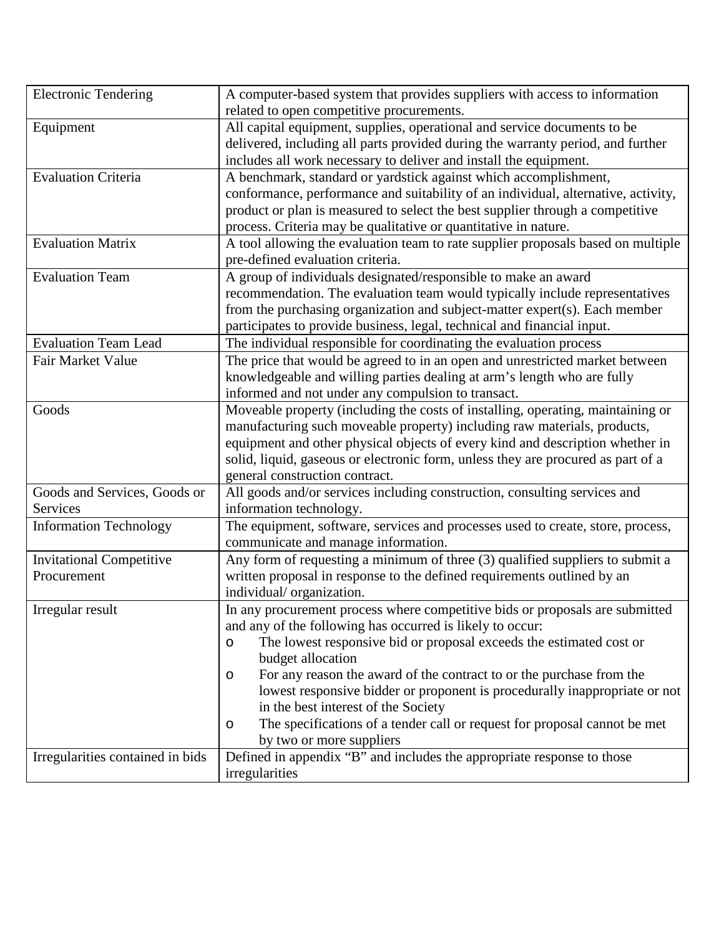| <b>Electronic Tendering</b>                    | A computer-based system that provides suppliers with access to information<br>related to open competitive procurements.                                                                                                                                                                                                                                                                                                                                                                                                                                                      |  |
|------------------------------------------------|------------------------------------------------------------------------------------------------------------------------------------------------------------------------------------------------------------------------------------------------------------------------------------------------------------------------------------------------------------------------------------------------------------------------------------------------------------------------------------------------------------------------------------------------------------------------------|--|
| Equipment                                      | All capital equipment, supplies, operational and service documents to be<br>delivered, including all parts provided during the warranty period, and further<br>includes all work necessary to deliver and install the equipment.                                                                                                                                                                                                                                                                                                                                             |  |
| <b>Evaluation Criteria</b>                     | A benchmark, standard or yardstick against which accomplishment,<br>conformance, performance and suitability of an individual, alternative, activity,<br>product or plan is measured to select the best supplier through a competitive<br>process. Criteria may be qualitative or quantitative in nature.                                                                                                                                                                                                                                                                    |  |
| <b>Evaluation Matrix</b>                       | A tool allowing the evaluation team to rate supplier proposals based on multiple<br>pre-defined evaluation criteria.                                                                                                                                                                                                                                                                                                                                                                                                                                                         |  |
| <b>Evaluation Team</b>                         | A group of individuals designated/responsible to make an award<br>recommendation. The evaluation team would typically include representatives<br>from the purchasing organization and subject-matter expert(s). Each member<br>participates to provide business, legal, technical and financial input.                                                                                                                                                                                                                                                                       |  |
| <b>Evaluation Team Lead</b>                    | The individual responsible for coordinating the evaluation process                                                                                                                                                                                                                                                                                                                                                                                                                                                                                                           |  |
| Fair Market Value                              | The price that would be agreed to in an open and unrestricted market between<br>knowledgeable and willing parties dealing at arm's length who are fully<br>informed and not under any compulsion to transact.                                                                                                                                                                                                                                                                                                                                                                |  |
| Goods                                          | Moveable property (including the costs of installing, operating, maintaining or<br>manufacturing such moveable property) including raw materials, products,<br>equipment and other physical objects of every kind and description whether in<br>solid, liquid, gaseous or electronic form, unless they are procured as part of a<br>general construction contract.                                                                                                                                                                                                           |  |
| Goods and Services, Goods or<br>Services       | All goods and/or services including construction, consulting services and<br>information technology.                                                                                                                                                                                                                                                                                                                                                                                                                                                                         |  |
| <b>Information Technology</b>                  | The equipment, software, services and processes used to create, store, process,<br>communicate and manage information.                                                                                                                                                                                                                                                                                                                                                                                                                                                       |  |
| <b>Invitational Competitive</b><br>Procurement | Any form of requesting a minimum of three (3) qualified suppliers to submit a<br>written proposal in response to the defined requirements outlined by an<br>individual/organization.                                                                                                                                                                                                                                                                                                                                                                                         |  |
| Irregular result                               | In any procurement process where competitive bids or proposals are submitted<br>and any of the following has occurred is likely to occur:<br>The lowest responsive bid or proposal exceeds the estimated cost or<br>$\circ$<br>budget allocation<br>For any reason the award of the contract to or the purchase from the<br>$\circ$<br>lowest responsive bidder or proponent is procedurally inappropriate or not<br>in the best interest of the Society<br>The specifications of a tender call or request for proposal cannot be met<br>$\circ$<br>by two or more suppliers |  |
| Irregularities contained in bids               | Defined in appendix "B" and includes the appropriate response to those<br>irregularities                                                                                                                                                                                                                                                                                                                                                                                                                                                                                     |  |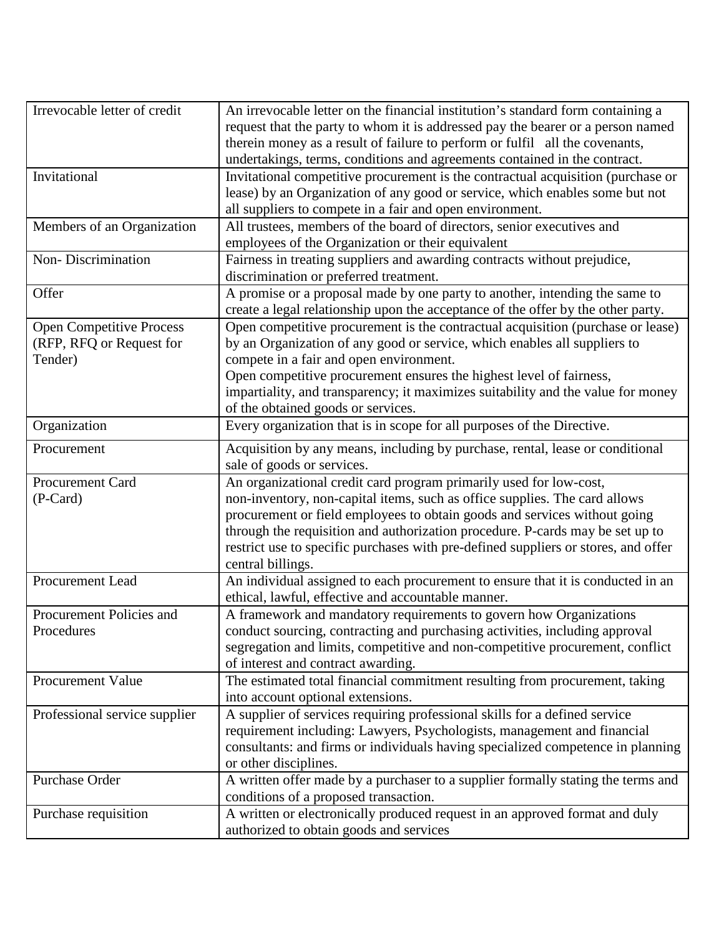| Irrevocable letter of credit    | An irrevocable letter on the financial institution's standard form containing a    |  |
|---------------------------------|------------------------------------------------------------------------------------|--|
|                                 | request that the party to whom it is addressed pay the bearer or a person named    |  |
|                                 | therein money as a result of failure to perform or fulfil all the covenants,       |  |
|                                 | undertakings, terms, conditions and agreements contained in the contract.          |  |
| Invitational                    | Invitational competitive procurement is the contractual acquisition (purchase or   |  |
|                                 | lease) by an Organization of any good or service, which enables some but not       |  |
|                                 | all suppliers to compete in a fair and open environment.                           |  |
| Members of an Organization      | All trustees, members of the board of directors, senior executives and             |  |
|                                 | employees of the Organization or their equivalent                                  |  |
| Non-Discrimination              | Fairness in treating suppliers and awarding contracts without prejudice,           |  |
|                                 | discrimination or preferred treatment.                                             |  |
| Offer                           | A promise or a proposal made by one party to another, intending the same to        |  |
|                                 | create a legal relationship upon the acceptance of the offer by the other party.   |  |
| <b>Open Competitive Process</b> | Open competitive procurement is the contractual acquisition (purchase or lease)    |  |
| (RFP, RFQ or Request for        | by an Organization of any good or service, which enables all suppliers to          |  |
| Tender)                         | compete in a fair and open environment.                                            |  |
|                                 | Open competitive procurement ensures the highest level of fairness,                |  |
|                                 | impartiality, and transparency; it maximizes suitability and the value for money   |  |
|                                 | of the obtained goods or services.                                                 |  |
| Organization                    | Every organization that is in scope for all purposes of the Directive.             |  |
| Procurement                     | Acquisition by any means, including by purchase, rental, lease or conditional      |  |
|                                 | sale of goods or services.                                                         |  |
| Procurement Card                | An organizational credit card program primarily used for low-cost,                 |  |
| $(P-Card)$                      | non-inventory, non-capital items, such as office supplies. The card allows         |  |
|                                 | procurement or field employees to obtain goods and services without going          |  |
|                                 | through the requisition and authorization procedure. P-cards may be set up to      |  |
|                                 | restrict use to specific purchases with pre-defined suppliers or stores, and offer |  |
|                                 | central billings.                                                                  |  |
| Procurement Lead                | An individual assigned to each procurement to ensure that it is conducted in an    |  |
|                                 | ethical, lawful, effective and accountable manner.                                 |  |
| Procurement Policies and        | A framework and mandatory requirements to govern how Organizations                 |  |
| Procedures                      | conduct sourcing, contracting and purchasing activities, including approval        |  |
|                                 | segregation and limits, competitive and non-competitive procurement, conflict      |  |
|                                 | of interest and contract awarding.                                                 |  |
| <b>Procurement Value</b>        | The estimated total financial commitment resulting from procurement, taking        |  |
|                                 | into account optional extensions.                                                  |  |
| Professional service supplier   | A supplier of services requiring professional skills for a defined service         |  |
|                                 | requirement including: Lawyers, Psychologists, management and financial            |  |
|                                 | consultants: and firms or individuals having specialized competence in planning    |  |
|                                 | or other disciplines.                                                              |  |
| <b>Purchase Order</b>           | A written offer made by a purchaser to a supplier formally stating the terms and   |  |
|                                 | conditions of a proposed transaction.                                              |  |
| Purchase requisition            | A written or electronically produced request in an approved format and duly        |  |
|                                 | authorized to obtain goods and services                                            |  |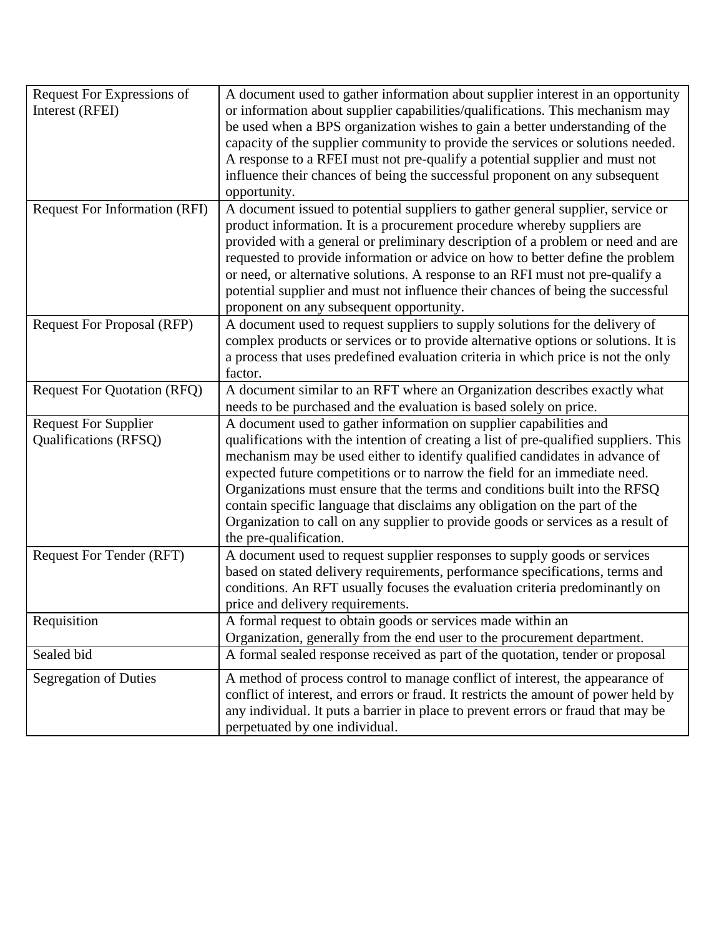| Request For Expressions of         | A document used to gather information about supplier interest in an opportunity       |
|------------------------------------|---------------------------------------------------------------------------------------|
| Interest (RFEI)                    | or information about supplier capabilities/qualifications. This mechanism may         |
|                                    | be used when a BPS organization wishes to gain a better understanding of the          |
|                                    | capacity of the supplier community to provide the services or solutions needed.       |
|                                    | A response to a RFEI must not pre-qualify a potential supplier and must not           |
|                                    | influence their chances of being the successful proponent on any subsequent           |
|                                    |                                                                                       |
|                                    | opportunity.                                                                          |
| Request For Information (RFI)      | A document issued to potential suppliers to gather general supplier, service or       |
|                                    | product information. It is a procurement procedure whereby suppliers are              |
|                                    | provided with a general or preliminary description of a problem or need and are       |
|                                    | requested to provide information or advice on how to better define the problem        |
|                                    | or need, or alternative solutions. A response to an RFI must not pre-qualify a        |
|                                    | potential supplier and must not influence their chances of being the successful       |
|                                    | proponent on any subsequent opportunity.                                              |
| <b>Request For Proposal (RFP)</b>  | A document used to request suppliers to supply solutions for the delivery of          |
|                                    | complex products or services or to provide alternative options or solutions. It is    |
|                                    |                                                                                       |
|                                    | a process that uses predefined evaluation criteria in which price is not the only     |
|                                    | factor.                                                                               |
| <b>Request For Quotation (RFQ)</b> | A document similar to an RFT where an Organization describes exactly what             |
|                                    | needs to be purchased and the evaluation is based solely on price.                    |
| <b>Request For Supplier</b>        | A document used to gather information on supplier capabilities and                    |
| Qualifications (RFSQ)              | qualifications with the intention of creating a list of pre-qualified suppliers. This |
|                                    | mechanism may be used either to identify qualified candidates in advance of           |
|                                    | expected future competitions or to narrow the field for an immediate need.            |
|                                    | Organizations must ensure that the terms and conditions built into the RFSQ           |
|                                    | contain specific language that disclaims any obligation on the part of the            |
|                                    | Organization to call on any supplier to provide goods or services as a result of      |
|                                    | the pre-qualification.                                                                |
|                                    |                                                                                       |
| <b>Request For Tender (RFT)</b>    | A document used to request supplier responses to supply goods or services             |
|                                    | based on stated delivery requirements, performance specifications, terms and          |
|                                    | conditions. An RFT usually focuses the evaluation criteria predominantly on           |
|                                    | price and delivery requirements.                                                      |
| Requisition                        | A formal request to obtain goods or services made within an                           |
|                                    | Organization, generally from the end user to the procurement department.              |
| Sealed bid                         | A formal sealed response received as part of the quotation, tender or proposal        |
| <b>Segregation of Duties</b>       | A method of process control to manage conflict of interest, the appearance of         |
|                                    | conflict of interest, and errors or fraud. It restricts the amount of power held by   |
|                                    | any individual. It puts a barrier in place to prevent errors or fraud that may be     |
|                                    | perpetuated by one individual.                                                        |
|                                    |                                                                                       |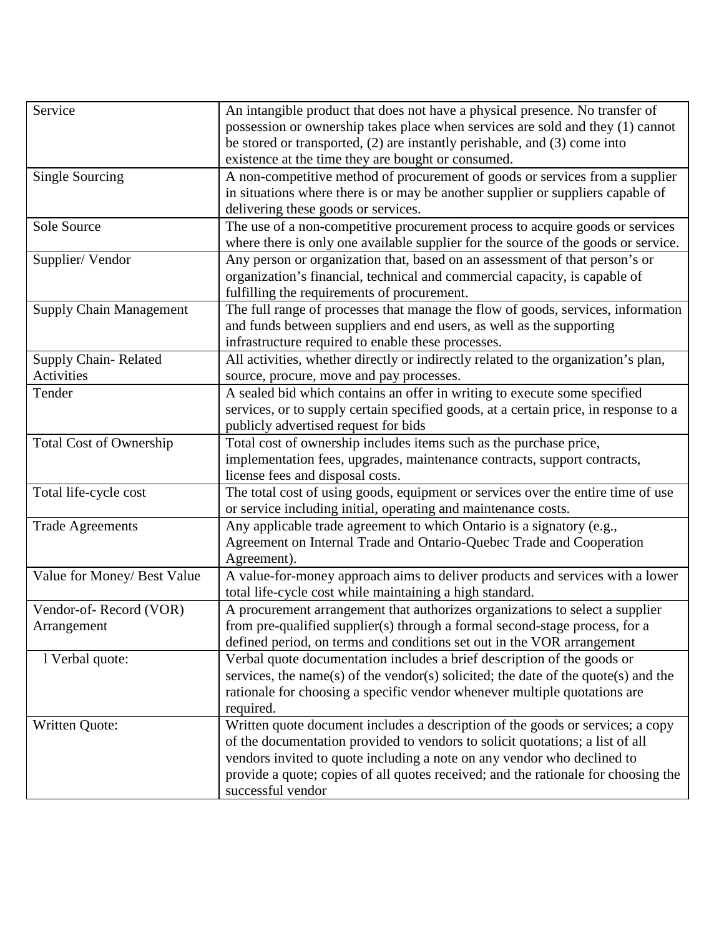| Service                        | An intangible product that does not have a physical presence. No transfer of         |  |
|--------------------------------|--------------------------------------------------------------------------------------|--|
|                                | possession or ownership takes place when services are sold and they (1) cannot       |  |
|                                | be stored or transported, (2) are instantly perishable, and (3) come into            |  |
|                                | existence at the time they are bought or consumed.                                   |  |
| <b>Single Sourcing</b>         | A non-competitive method of procurement of goods or services from a supplier         |  |
|                                | in situations where there is or may be another supplier or suppliers capable of      |  |
|                                | delivering these goods or services.                                                  |  |
| Sole Source                    | The use of a non-competitive procurement process to acquire goods or services        |  |
|                                | where there is only one available supplier for the source of the goods or service.   |  |
| Supplier/Vendor                | Any person or organization that, based on an assessment of that person's or          |  |
|                                | organization's financial, technical and commercial capacity, is capable of           |  |
|                                | fulfilling the requirements of procurement.                                          |  |
| <b>Supply Chain Management</b> | The full range of processes that manage the flow of goods, services, information     |  |
|                                | and funds between suppliers and end users, as well as the supporting                 |  |
|                                | infrastructure required to enable these processes.                                   |  |
| <b>Supply Chain-Related</b>    | All activities, whether directly or indirectly related to the organization's plan,   |  |
| <b>Activities</b>              | source, procure, move and pay processes.                                             |  |
| Tender                         | A sealed bid which contains an offer in writing to execute some specified            |  |
|                                | services, or to supply certain specified goods, at a certain price, in response to a |  |
|                                | publicly advertised request for bids                                                 |  |
| <b>Total Cost of Ownership</b> | Total cost of ownership includes items such as the purchase price,                   |  |
|                                | implementation fees, upgrades, maintenance contracts, support contracts,             |  |
|                                | license fees and disposal costs.                                                     |  |
| Total life-cycle cost          | The total cost of using goods, equipment or services over the entire time of use     |  |
|                                | or service including initial, operating and maintenance costs.                       |  |
| <b>Trade Agreements</b>        | Any applicable trade agreement to which Ontario is a signatory (e.g.,                |  |
|                                | Agreement on Internal Trade and Ontario-Quebec Trade and Cooperation                 |  |
|                                | Agreement).                                                                          |  |
| Value for Money/ Best Value    | A value-for-money approach aims to deliver products and services with a lower        |  |
|                                | total life-cycle cost while maintaining a high standard.                             |  |
| Vendor-of-Record (VOR)         | A procurement arrangement that authorizes organizations to select a supplier         |  |
| Arrangement                    | from pre-qualified supplier(s) through a formal second-stage process, for a          |  |
|                                | defined period, on terms and conditions set out in the VOR arrangement               |  |
| 1 Verbal quote:                | Verbal quote documentation includes a brief description of the goods or              |  |
|                                | services, the name(s) of the vendor(s) solicited; the date of the quote(s) and the   |  |
|                                | rationale for choosing a specific vendor whenever multiple quotations are            |  |
|                                | required.                                                                            |  |
| <b>Written Quote:</b>          | Written quote document includes a description of the goods or services; a copy       |  |
|                                | of the documentation provided to vendors to solicit quotations; a list of all        |  |
|                                | vendors invited to quote including a note on any vendor who declined to              |  |
|                                | provide a quote; copies of all quotes received; and the rationale for choosing the   |  |
|                                | successful vendor                                                                    |  |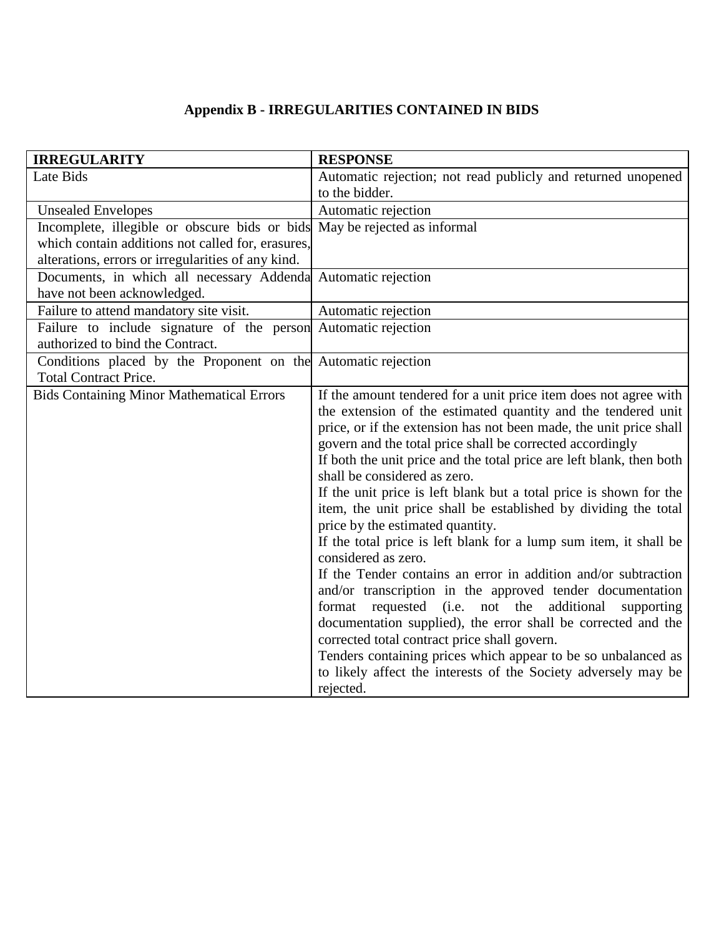## **Appendix B - IRREGULARITIES CONTAINED IN BIDS**

| <b>IRREGULARITY</b>                                           | <b>RESPONSE</b>                                                                                                                       |  |
|---------------------------------------------------------------|---------------------------------------------------------------------------------------------------------------------------------------|--|
| Late Bids                                                     | Automatic rejection; not read publicly and returned unopened                                                                          |  |
|                                                               | to the bidder.                                                                                                                        |  |
| <b>Unsealed Envelopes</b>                                     | Automatic rejection                                                                                                                   |  |
| Incomplete, illegible or obscure bids or bids                 | May be rejected as informal                                                                                                           |  |
| which contain additions not called for, erasures,             |                                                                                                                                       |  |
| alterations, errors or irregularities of any kind.            |                                                                                                                                       |  |
| Documents, in which all necessary Addenda Automatic rejection |                                                                                                                                       |  |
| have not been acknowledged.                                   |                                                                                                                                       |  |
| Failure to attend mandatory site visit.                       | Automatic rejection                                                                                                                   |  |
| Failure to include signature of the person                    | Automatic rejection                                                                                                                   |  |
| authorized to bind the Contract.                              |                                                                                                                                       |  |
| Conditions placed by the Proponent on the                     | Automatic rejection                                                                                                                   |  |
| <b>Total Contract Price.</b>                                  |                                                                                                                                       |  |
| <b>Bids Containing Minor Mathematical Errors</b>              | If the amount tendered for a unit price item does not agree with                                                                      |  |
|                                                               | the extension of the estimated quantity and the tendered unit                                                                         |  |
|                                                               | price, or if the extension has not been made, the unit price shall                                                                    |  |
|                                                               | govern and the total price shall be corrected accordingly                                                                             |  |
|                                                               | If both the unit price and the total price are left blank, then both<br>shall be considered as zero.                                  |  |
|                                                               |                                                                                                                                       |  |
|                                                               | If the unit price is left blank but a total price is shown for the<br>item, the unit price shall be established by dividing the total |  |
|                                                               | price by the estimated quantity.                                                                                                      |  |
|                                                               | If the total price is left blank for a lump sum item, it shall be                                                                     |  |
|                                                               | considered as zero.                                                                                                                   |  |
|                                                               | If the Tender contains an error in addition and/or subtraction                                                                        |  |
|                                                               | and/or transcription in the approved tender documentation                                                                             |  |
|                                                               | requested (i.e. not the<br>additional<br>format<br>supporting                                                                         |  |
|                                                               | documentation supplied), the error shall be corrected and the                                                                         |  |
|                                                               | corrected total contract price shall govern.                                                                                          |  |
|                                                               | Tenders containing prices which appear to be so unbalanced as                                                                         |  |
|                                                               | to likely affect the interests of the Society adversely may be                                                                        |  |
|                                                               | rejected.                                                                                                                             |  |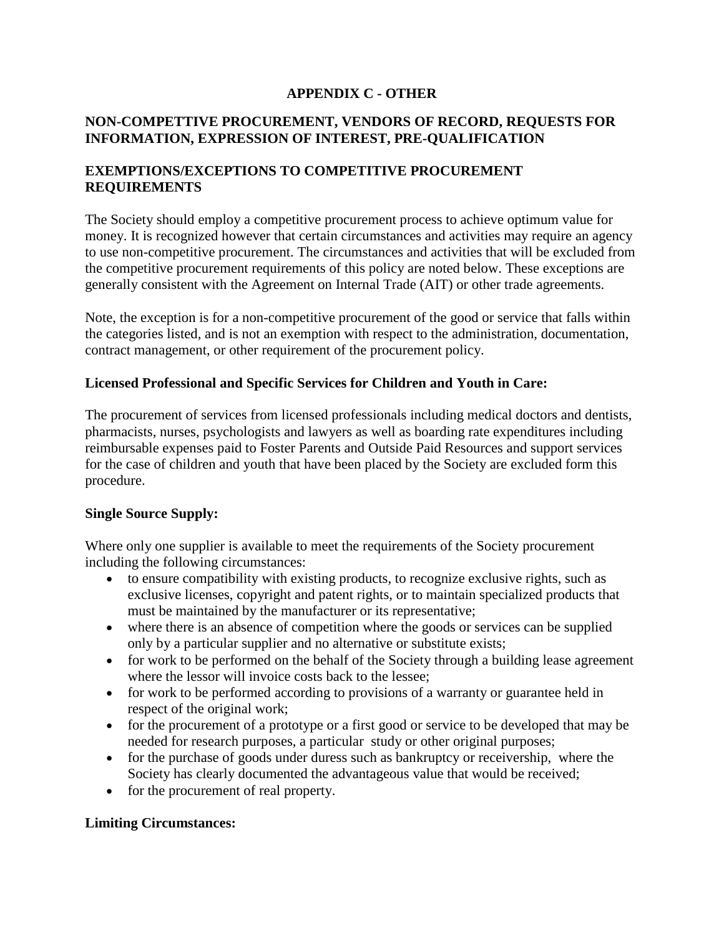## **APPENDIX C - OTHER**

## **NON-COMPETTIVE PROCUREMENT, VENDORS OF RECORD, REQUESTS FOR INFORMATION, EXPRESSION OF INTEREST, PRE-QUALIFICATION**

## **EXEMPTIONS/EXCEPTIONS TO COMPETITIVE PROCUREMENT REQUIREMENTS**

The Society should employ a competitive procurement process to achieve optimum value for money. It is recognized however that certain circumstances and activities may require an agency to use non-competitive procurement. The circumstances and activities that will be excluded from the competitive procurement requirements of this policy are noted below. These exceptions are generally consistent with the Agreement on Internal Trade (AIT) or other trade agreements.

Note, the exception is for a non-competitive procurement of the good or service that falls within the categories listed, and is not an exemption with respect to the administration, documentation, contract management, or other requirement of the procurement policy.

## **Licensed Professional and Specific Services for Children and Youth in Care:**

The procurement of services from licensed professionals including medical doctors and dentists, pharmacists, nurses, psychologists and lawyers as well as boarding rate expenditures including reimbursable expenses paid to Foster Parents and Outside Paid Resources and support services for the case of children and youth that have been placed by the Society are excluded form this procedure.

#### **Single Source Supply:**

Where only one supplier is available to meet the requirements of the Society procurement including the following circumstances:

- to ensure compatibility with existing products, to recognize exclusive rights, such as exclusive licenses, copyright and patent rights, or to maintain specialized products that must be maintained by the manufacturer or its representative;
- where there is an absence of competition where the goods or services can be supplied only by a particular supplier and no alternative or substitute exists;
- for work to be performed on the behalf of the Society through a building lease agreement where the lessor will invoice costs back to the lessee;
- for work to be performed according to provisions of a warranty or guarantee held in respect of the original work;
- for the procurement of a prototype or a first good or service to be developed that may be needed for research purposes, a particular study or other original purposes;
- for the purchase of goods under duress such as bankruptcy or receivership, where the Society has clearly documented the advantageous value that would be received;
- for the procurement of real property.

#### **Limiting Circumstances:**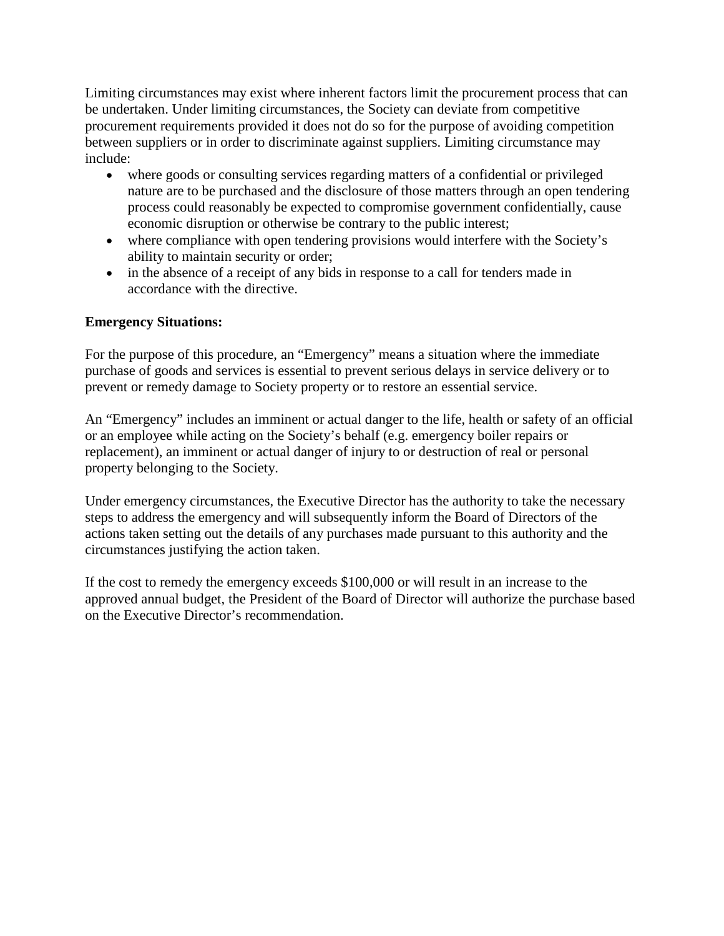Limiting circumstances may exist where inherent factors limit the procurement process that can be undertaken. Under limiting circumstances, the Society can deviate from competitive procurement requirements provided it does not do so for the purpose of avoiding competition between suppliers or in order to discriminate against suppliers. Limiting circumstance may include:

- where goods or consulting services regarding matters of a confidential or privileged nature are to be purchased and the disclosure of those matters through an open tendering process could reasonably be expected to compromise government confidentially, cause economic disruption or otherwise be contrary to the public interest;
- where compliance with open tendering provisions would interfere with the Society's ability to maintain security or order;
- in the absence of a receipt of any bids in response to a call for tenders made in accordance with the directive.

## **Emergency Situations:**

For the purpose of this procedure, an "Emergency" means a situation where the immediate purchase of goods and services is essential to prevent serious delays in service delivery or to prevent or remedy damage to Society property or to restore an essential service.

An "Emergency" includes an imminent or actual danger to the life, health or safety of an official or an employee while acting on the Society's behalf (e.g. emergency boiler repairs or replacement), an imminent or actual danger of injury to or destruction of real or personal property belonging to the Society.

Under emergency circumstances, the Executive Director has the authority to take the necessary steps to address the emergency and will subsequently inform the Board of Directors of the actions taken setting out the details of any purchases made pursuant to this authority and the circumstances justifying the action taken.

If the cost to remedy the emergency exceeds \$100,000 or will result in an increase to the approved annual budget, the President of the Board of Director will authorize the purchase based on the Executive Director's recommendation.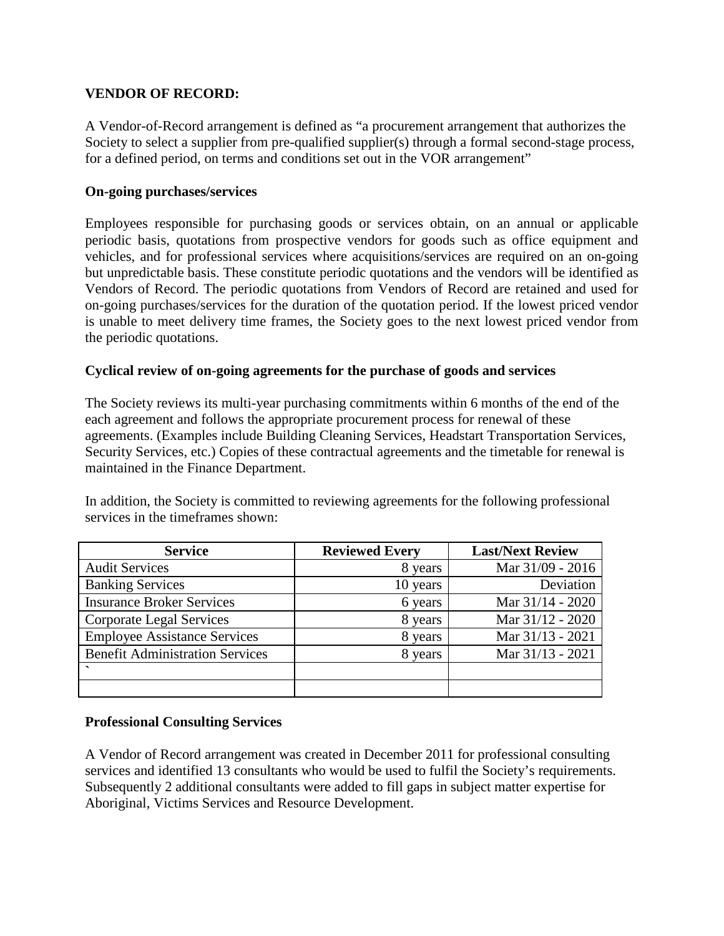## **VENDOR OF RECORD:**

A Vendor-of-Record arrangement is defined as "a procurement arrangement that authorizes the Society to select a supplier from pre-qualified supplier(s) through a formal second-stage process, for a defined period, on terms and conditions set out in the VOR arrangement"

#### **On-going purchases/services**

Employees responsible for purchasing goods or services obtain, on an annual or applicable periodic basis, quotations from prospective vendors for goods such as office equipment and vehicles, and for professional services where acquisitions/services are required on an on-going but unpredictable basis. These constitute periodic quotations and the vendors will be identified as Vendors of Record. The periodic quotations from Vendors of Record are retained and used for on-going purchases/services for the duration of the quotation period. If the lowest priced vendor is unable to meet delivery time frames, the Society goes to the next lowest priced vendor from the periodic quotations.

#### **Cyclical review of on-going agreements for the purchase of goods and services**

The Society reviews its multi-year purchasing commitments within 6 months of the end of the each agreement and follows the appropriate procurement process for renewal of these agreements. (Examples include Building Cleaning Services, Headstart Transportation Services, Security Services, etc.) Copies of these contractual agreements and the timetable for renewal is maintained in the Finance Department.

In addition, the Society is committed to reviewing agreements for the following professional services in the timeframes shown:

| <b>Service</b>                         | <b>Reviewed Every</b> | <b>Last/Next Review</b> |
|----------------------------------------|-----------------------|-------------------------|
| <b>Audit Services</b>                  | 8 years               | Mar 31/09 - 2016        |
| <b>Banking Services</b>                | 10 years              | Deviation               |
| <b>Insurance Broker Services</b>       | 6 years               | Mar 31/14 - 2020        |
| Corporate Legal Services               | 8 years               | Mar 31/12 - 2020        |
| <b>Employee Assistance Services</b>    | 8 years               | Mar 31/13 - 2021        |
| <b>Benefit Administration Services</b> | 8 years               | Mar 31/13 - 2021        |
| $\cdot$                                |                       |                         |
|                                        |                       |                         |

#### **Professional Consulting Services**

A Vendor of Record arrangement was created in December 2011 for professional consulting services and identified 13 consultants who would be used to fulfil the Society's requirements. Subsequently 2 additional consultants were added to fill gaps in subject matter expertise for Aboriginal, Victims Services and Resource Development.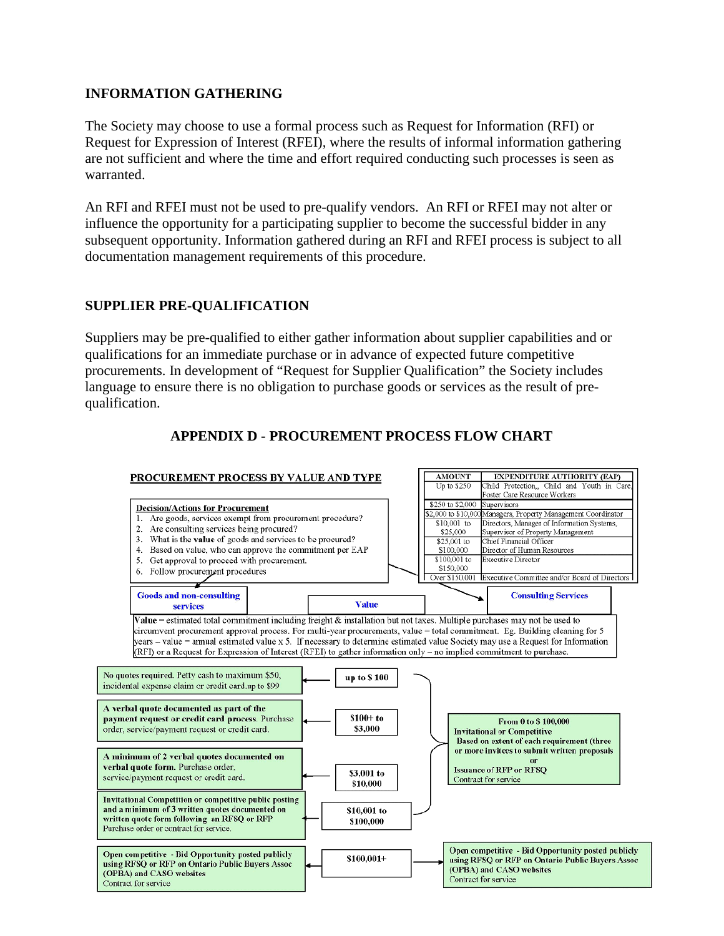#### **INFORMATION GATHERING**

The Society may choose to use a formal process such as Request for Information (RFI) or Request for Expression of Interest (RFEI), where the results of informal information gathering are not sufficient and where the time and effort required conducting such processes is seen as warranted.

An RFI and RFEI must not be used to pre-qualify vendors. An RFI or RFEI may not alter or influence the opportunity for a participating supplier to become the successful bidder in any subsequent opportunity. Information gathered during an RFI and RFEI process is subject to all documentation management requirements of this procedure.

## **SUPPLIER PRE-QUALIFICATION**

Suppliers may be pre-qualified to either gather information about supplier capabilities and or qualifications for an immediate purchase or in advance of expected future competitive procurements. In development of "Request for Supplier Qualification" the Society includes language to ensure there is no obligation to purchase goods or services as the result of prequalification.



## **APPENDIX D - PROCUREMENT PROCESS FLOW CHART**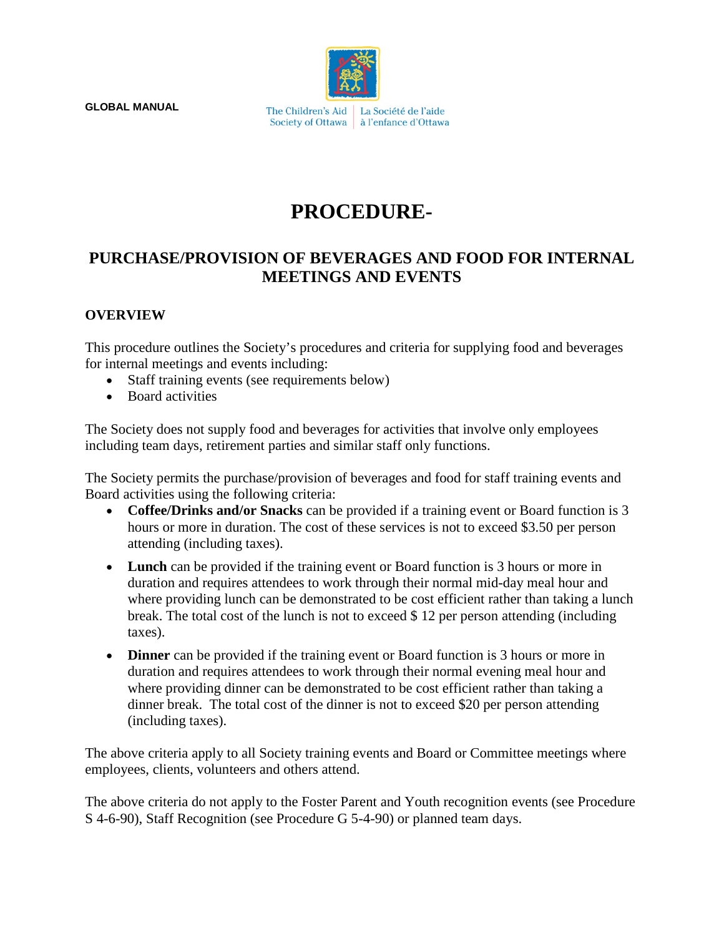**GLOBAL MANUAL**



# **PROCEDURE-**

## **PURCHASE/PROVISION OF BEVERAGES AND FOOD FOR INTERNAL MEETINGS AND EVENTS**

## **OVERVIEW**

This procedure outlines the Society's procedures and criteria for supplying food and beverages for internal meetings and events including:

- Staff training events (see requirements below)
- Board activities

The Society does not supply food and beverages for activities that involve only employees including team days, retirement parties and similar staff only functions.

The Society permits the purchase/provision of beverages and food for staff training events and Board activities using the following criteria:

- **Coffee/Drinks and/or Snacks** can be provided if a training event or Board function is 3 hours or more in duration. The cost of these services is not to exceed \$3.50 per person attending (including taxes).
- **Lunch** can be provided if the training event or Board function is 3 hours or more in duration and requires attendees to work through their normal mid-day meal hour and where providing lunch can be demonstrated to be cost efficient rather than taking a lunch break. The total cost of the lunch is not to exceed \$ 12 per person attending (including taxes).
- **Dinner** can be provided if the training event or Board function is 3 hours or more in duration and requires attendees to work through their normal evening meal hour and where providing dinner can be demonstrated to be cost efficient rather than taking a dinner break. The total cost of the dinner is not to exceed \$20 per person attending (including taxes).

The above criteria apply to all Society training events and Board or Committee meetings where employees, clients, volunteers and others attend.

The above criteria do not apply to the Foster Parent and Youth recognition events (see Procedure S 4-6-90), Staff Recognition (see Procedure G 5-4-90) or planned team days.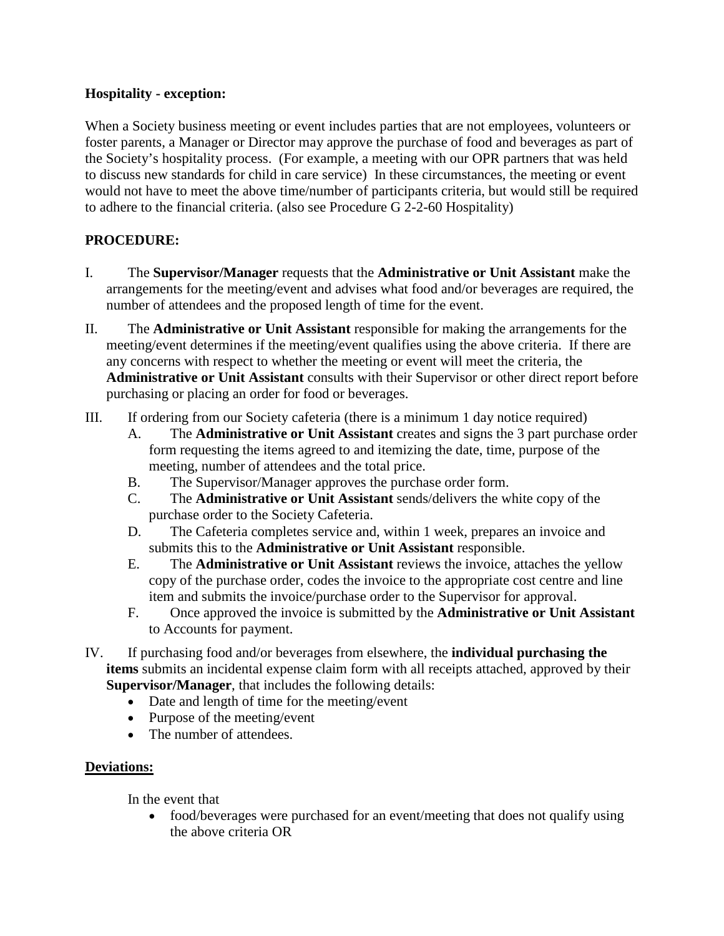## **Hospitality - exception:**

When a Society business meeting or event includes parties that are not employees, volunteers or foster parents, a Manager or Director may approve the purchase of food and beverages as part of the Society's hospitality process. (For example, a meeting with our OPR partners that was held to discuss new standards for child in care service) In these circumstances, the meeting or event would not have to meet the above time/number of participants criteria, but would still be required to adhere to the financial criteria. (also see Procedure G 2-2-60 Hospitality)

## **PROCEDURE:**

- I. The **Supervisor/Manager** requests that the **Administrative or Unit Assistant** make the arrangements for the meeting/event and advises what food and/or beverages are required, the number of attendees and the proposed length of time for the event.
- II. The **Administrative or Unit Assistant** responsible for making the arrangements for the meeting/event determines if the meeting/event qualifies using the above criteria. If there are any concerns with respect to whether the meeting or event will meet the criteria, the **Administrative or Unit Assistant** consults with their Supervisor or other direct report before purchasing or placing an order for food or beverages.
- III. If ordering from our Society cafeteria (there is a minimum 1 day notice required)
	- A. The **Administrative or Unit Assistant** creates and signs the 3 part purchase order form requesting the items agreed to and itemizing the date, time, purpose of the meeting, number of attendees and the total price.
	- B. The Supervisor/Manager approves the purchase order form.
	- C. The **Administrative or Unit Assistant** sends/delivers the white copy of the purchase order to the Society Cafeteria.
	- D. The Cafeteria completes service and, within 1 week, prepares an invoice and submits this to the **Administrative or Unit Assistant** responsible.
	- E. The **Administrative or Unit Assistant** reviews the invoice, attaches the yellow copy of the purchase order, codes the invoice to the appropriate cost centre and line item and submits the invoice/purchase order to the Supervisor for approval.
	- F. Once approved the invoice is submitted by the **Administrative or Unit Assistant** to Accounts for payment.
- IV. If purchasing food and/or beverages from elsewhere, the **individual purchasing the items** submits an incidental expense claim form with all receipts attached, approved by their **Supervisor/Manager**, that includes the following details:
	- Date and length of time for the meeting/event
	- Purpose of the meeting/event
	- The number of attendees.

## **Deviations:**

In the event that

• food/beverages were purchased for an event/meeting that does not qualify using the above criteria OR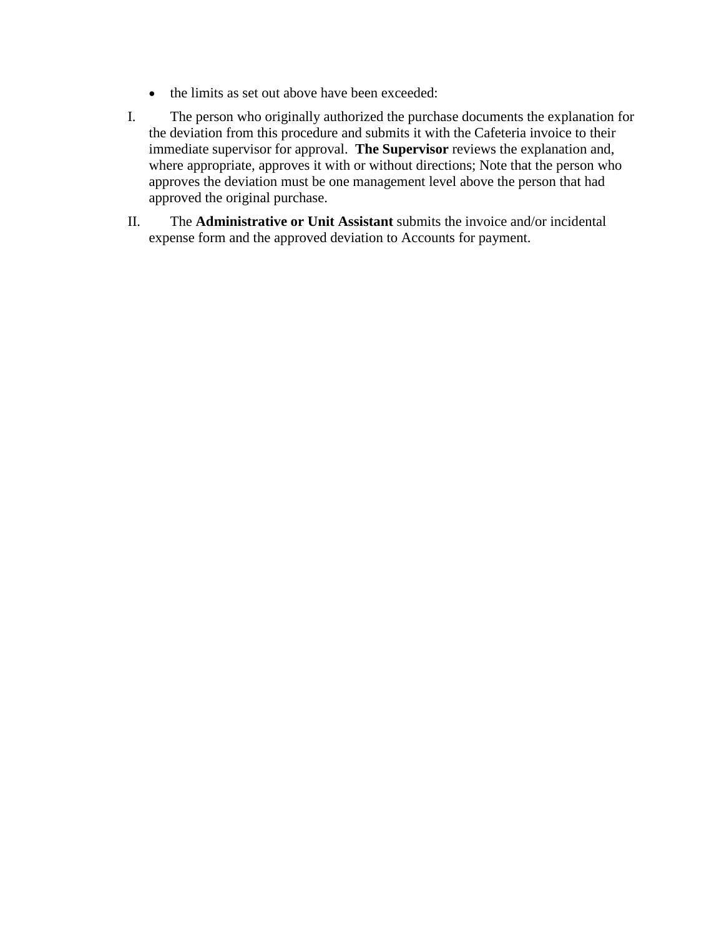- the limits as set out above have been exceeded:
- I. The person who originally authorized the purchase documents the explanation for the deviation from this procedure and submits it with the Cafeteria invoice to their immediate supervisor for approval. **The Supervisor** reviews the explanation and, where appropriate, approves it with or without directions; Note that the person who approves the deviation must be one management level above the person that had approved the original purchase.
- II. The **Administrative or Unit Assistant** submits the invoice and/or incidental expense form and the approved deviation to Accounts for payment.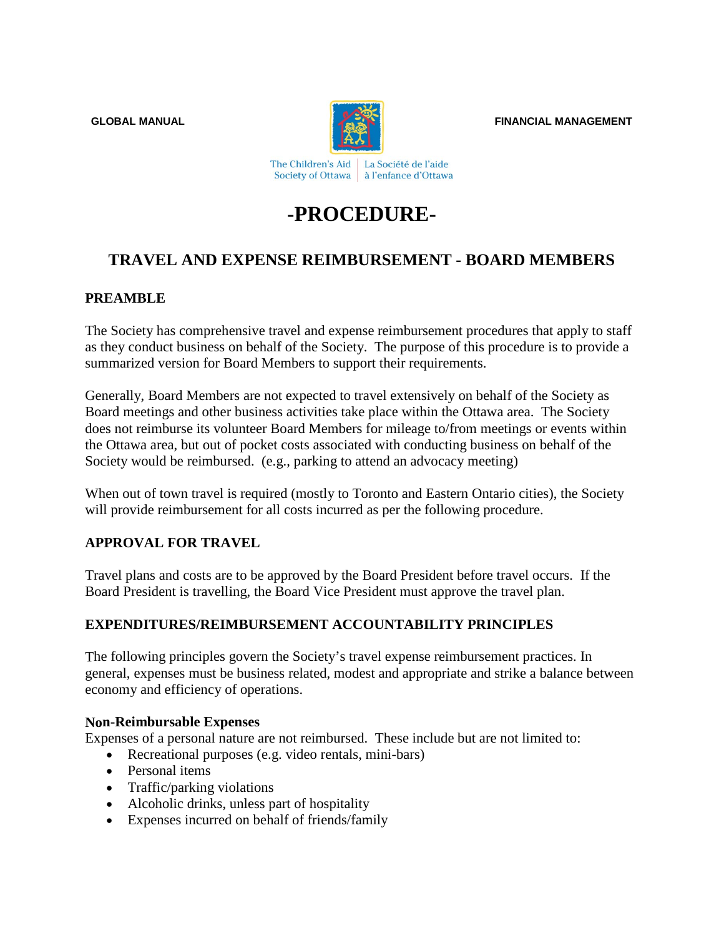**GLOBAL MANUAL CONSUMING A REPORT OF A REPORT OF A REPORT OF A REPORT OF A REPORT OF A REPORT OF A REPORT OF A REPORT OF A REPORT OF A REPORT OF A REPORT OF A REPORT OF A REPORT OF A REPORT OF A REPORT OF A REPORT OF A REP** 



# $\begin{tabular}{|c|c|c|c|} \hline \textbf{The Children's Aid} & La Société de l'aide \\ \hline Society of Ottawa & à l'enfance d'Ottawa \\ \hline \end{tabular}$

# **-PROCEDURE-**

## **TRAVEL AND EXPENSE REIMBURSEMENT - BOARD MEMBERS**

## **PREAMBLE**

The Society has comprehensive travel and expense reimbursement procedures that apply to staff as they conduct business on behalf of the Society. The purpose of this procedure is to provide a summarized version for Board Members to support their requirements.

Generally, Board Members are not expected to travel extensively on behalf of the Society as Board meetings and other business activities take place within the Ottawa area. The Society does not reimburse its volunteer Board Members for mileage to/from meetings or events within the Ottawa area, but out of pocket costs associated with conducting business on behalf of the Society would be reimbursed. (e.g., parking to attend an advocacy meeting)

When out of town travel is required (mostly to Toronto and Eastern Ontario cities), the Society will provide reimbursement for all costs incurred as per the following procedure.

## **APPROVAL FOR TRAVEL**

Travel plans and costs are to be approved by the Board President before travel occurs. If the Board President is travelling, the Board Vice President must approve the travel plan.

## **EXPENDITURES/REIMBURSEMENT ACCOUNTABILITY PRINCIPLES**

The following principles govern the Society's travel expense reimbursement practices. In general, expenses must be business related, modest and appropriate and strike a balance between economy and efficiency of operations.

#### **Non-Reimbursable Expenses**

Expenses of a personal nature are not reimbursed. These include but are not limited to:

- Recreational purposes (e.g. video rentals, mini-bars)
- Personal items
- Traffic/parking violations
- Alcoholic drinks, unless part of hospitality
- Expenses incurred on behalf of friends/family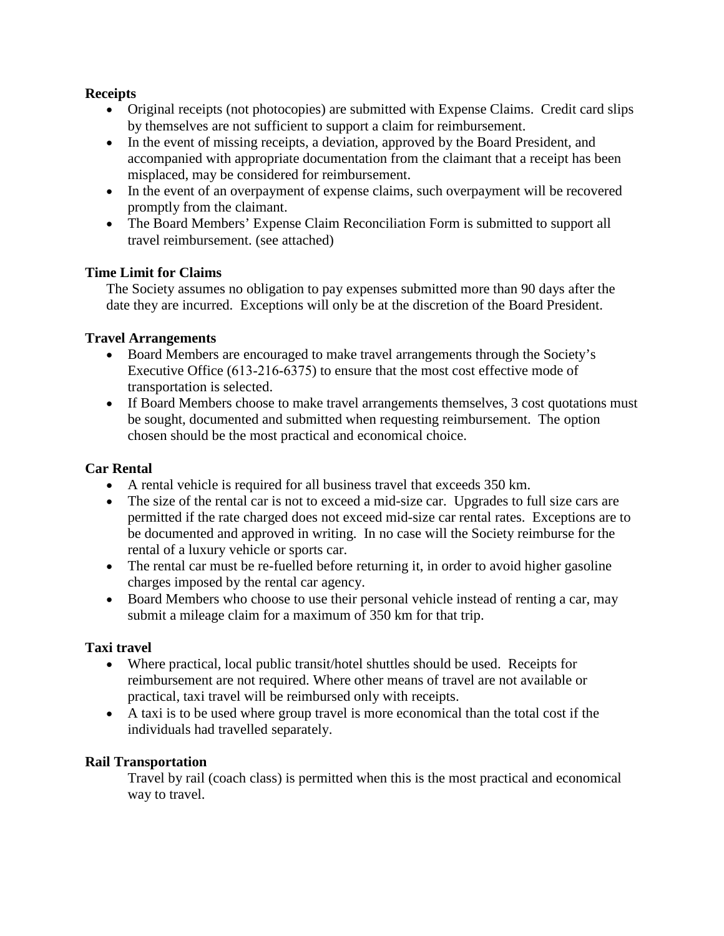## **Receipts**

- Original receipts (not photocopies) are submitted with Expense Claims. Credit card slips by themselves are not sufficient to support a claim for reimbursement.
- In the event of missing receipts, a deviation, approved by the Board President, and accompanied with appropriate documentation from the claimant that a receipt has been misplaced, may be considered for reimbursement.
- In the event of an overpayment of expense claims, such overpayment will be recovered promptly from the claimant.
- The Board Members' Expense Claim Reconciliation Form is submitted to support all travel reimbursement. (see attached)

#### **Time Limit for Claims**

The Society assumes no obligation to pay expenses submitted more than 90 days after the date they are incurred. Exceptions will only be at the discretion of the Board President.

## **Travel Arrangements**

- Board Members are encouraged to make travel arrangements through the Society's Executive Office (613-216-6375) to ensure that the most cost effective mode of transportation is selected.
- If Board Members choose to make travel arrangements themselves, 3 cost quotations must be sought, documented and submitted when requesting reimbursement. The option chosen should be the most practical and economical choice.

#### **Car Rental**

- A rental vehicle is required for all business travel that exceeds 350 km.
- The size of the rental car is not to exceed a mid-size car. Upgrades to full size cars are permitted if the rate charged does not exceed mid-size car rental rates. Exceptions are to be documented and approved in writing. In no case will the Society reimburse for the rental of a luxury vehicle or sports car.
- The rental car must be re-fuelled before returning it, in order to avoid higher gasoline charges imposed by the rental car agency.
- Board Members who choose to use their personal vehicle instead of renting a car, may submit a mileage claim for a maximum of 350 km for that trip.

#### **Taxi travel**

- Where practical, local public transit/hotel shuttles should be used. Receipts for reimbursement are not required. Where other means of travel are not available or practical, taxi travel will be reimbursed only with receipts.
- A taxi is to be used where group travel is more economical than the total cost if the individuals had travelled separately.

#### **Rail Transportation**

Travel by rail (coach class) is permitted when this is the most practical and economical way to travel.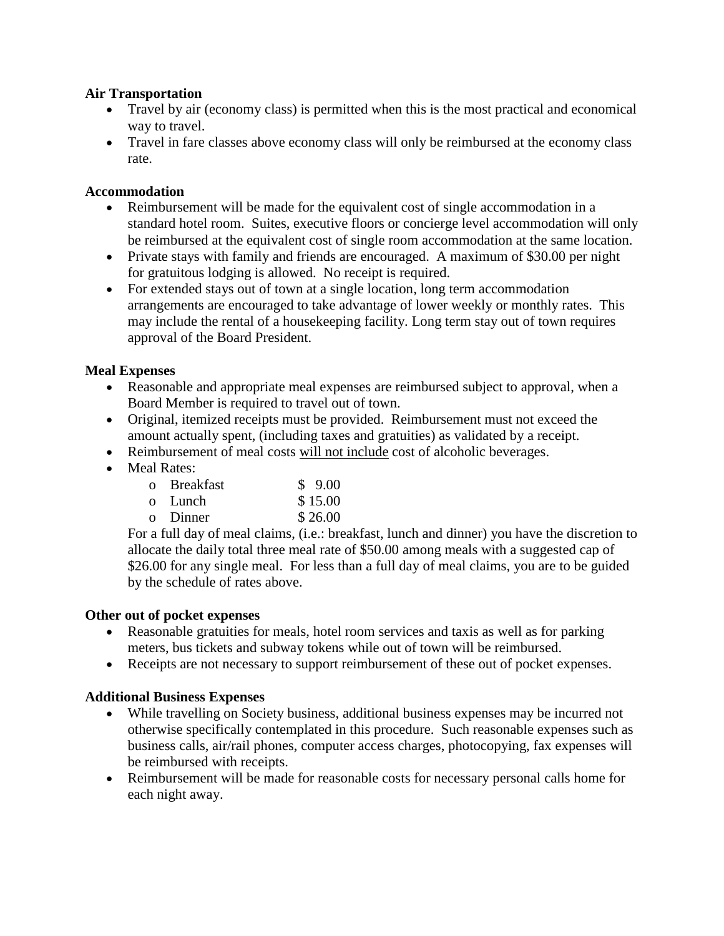## **Air Transportation**

- Travel by air (economy class) is permitted when this is the most practical and economical way to travel.
- Travel in fare classes above economy class will only be reimbursed at the economy class rate.

## **Accommodation**

- Reimbursement will be made for the equivalent cost of single accommodation in a standard hotel room. Suites, executive floors or concierge level accommodation will only be reimbursed at the equivalent cost of single room accommodation at the same location.
- Private stays with family and friends are encouraged. A maximum of \$30.00 per night for gratuitous lodging is allowed. No receipt is required.
- For extended stays out of town at a single location, long term accommodation arrangements are encouraged to take advantage of lower weekly or monthly rates. This may include the rental of a housekeeping facility. Long term stay out of town requires approval of the Board President.

## **Meal Expenses**

- Reasonable and appropriate meal expenses are reimbursed subject to approval, when a Board Member is required to travel out of town.
- Original, itemized receipts must be provided. Reimbursement must not exceed the amount actually spent, (including taxes and gratuities) as validated by a receipt.
- Reimbursement of meal costs will not include cost of alcoholic beverages.
- Meal Rates:

| o Breakfast | \$9.00  |
|-------------|---------|
| o Lunch     | \$15.00 |
| o Dinner    | \$26.00 |

For a full day of meal claims, (i.e.: breakfast, lunch and dinner) you have the discretion to allocate the daily total three meal rate of \$50.00 among meals with a suggested cap of \$26.00 for any single meal. For less than a full day of meal claims, you are to be guided by the schedule of rates above.

#### **Other out of pocket expenses**

- Reasonable gratuities for meals, hotel room services and taxis as well as for parking meters, bus tickets and subway tokens while out of town will be reimbursed.
- Receipts are not necessary to support reimbursement of these out of pocket expenses.

## **Additional Business Expenses**

- While travelling on Society business, additional business expenses may be incurred not otherwise specifically contemplated in this procedure. Such reasonable expenses such as business calls, air/rail phones, computer access charges, photocopying, fax expenses will be reimbursed with receipts.
- Reimbursement will be made for reasonable costs for necessary personal calls home for each night away.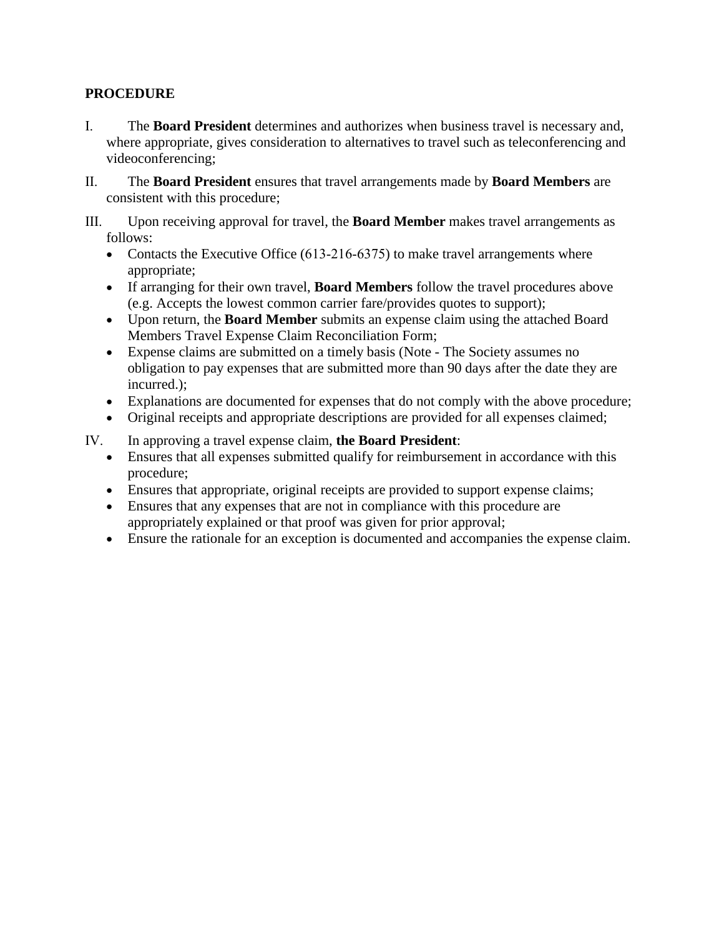## **PROCEDURE**

- I. The **Board President** determines and authorizes when business travel is necessary and, where appropriate, gives consideration to alternatives to travel such as teleconferencing and videoconferencing;
- II. The **Board President** ensures that travel arrangements made by **Board Members** are consistent with this procedure;
- III. Upon receiving approval for travel, the **Board Member** makes travel arrangements as follows:
	- Contacts the Executive Office (613-216-6375) to make travel arrangements where appropriate;
	- If arranging for their own travel, **Board Members** follow the travel procedures above (e.g. Accepts the lowest common carrier fare/provides quotes to support);
	- Upon return, the **Board Member** submits an expense claim using the attached Board Members Travel Expense Claim Reconciliation Form;
	- Expense claims are submitted on a timely basis (Note The Society assumes no obligation to pay expenses that are submitted more than 90 days after the date they are incurred.);
	- Explanations are documented for expenses that do not comply with the above procedure;
	- Original receipts and appropriate descriptions are provided for all expenses claimed;
- IV. In approving a travel expense claim, **the Board President**:
	- Ensures that all expenses submitted qualify for reimbursement in accordance with this procedure;
	- Ensures that appropriate, original receipts are provided to support expense claims;
	- Ensures that any expenses that are not in compliance with this procedure are appropriately explained or that proof was given for prior approval;
	- Ensure the rationale for an exception is documented and accompanies the expense claim.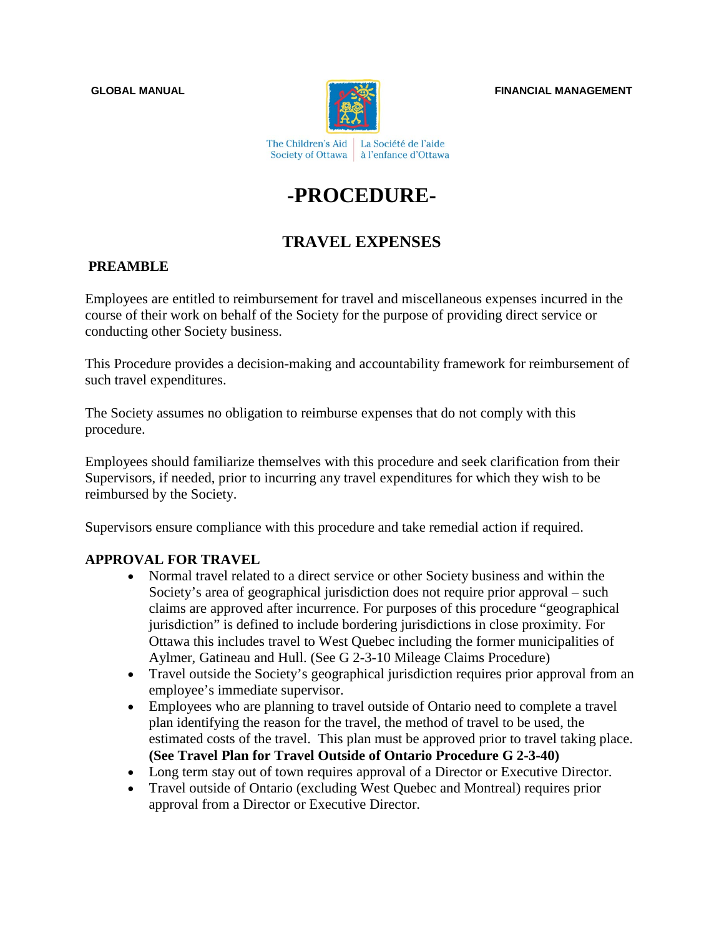

**GLOBAL MANUAL CONSTRUCTED BEING A SEXUAL FINANCIAL MANAGEMENT** 

The Children's Aid | La Société de l'aide Society of Ottawa | à l'enfance d'Ottawa

# **-PROCEDURE-**

## **TRAVEL EXPENSES**

## **PREAMBLE**

Employees are entitled to reimbursement for travel and miscellaneous expenses incurred in the course of their work on behalf of the Society for the purpose of providing direct service or conducting other Society business.

This Procedure provides a decision-making and accountability framework for reimbursement of such travel expenditures.

The Society assumes no obligation to reimburse expenses that do not comply with this procedure.

Employees should familiarize themselves with this procedure and seek clarification from their Supervisors, if needed, prior to incurring any travel expenditures for which they wish to be reimbursed by the Society.

Supervisors ensure compliance with this procedure and take remedial action if required.

## **APPROVAL FOR TRAVEL**

- Normal travel related to a direct service or other Society business and within the Society's area of geographical jurisdiction does not require prior approval – such claims are approved after incurrence. For purposes of this procedure "geographical jurisdiction" is defined to include bordering jurisdictions in close proximity. For Ottawa this includes travel to West Quebec including the former municipalities of Aylmer, Gatineau and Hull. (See G 2-3-10 Mileage Claims Procedure)
- Travel outside the Society's geographical jurisdiction requires prior approval from an employee's immediate supervisor.
- Employees who are planning to travel outside of Ontario need to complete a travel plan identifying the reason for the travel, the method of travel to be used, the estimated costs of the travel. This plan must be approved prior to travel taking place. **(See Travel Plan for Travel Outside of Ontario Procedure G 2-3-40)**
- Long term stay out of town requires approval of a Director or Executive Director.
- Travel outside of Ontario (excluding West Quebec and Montreal) requires prior approval from a Director or Executive Director.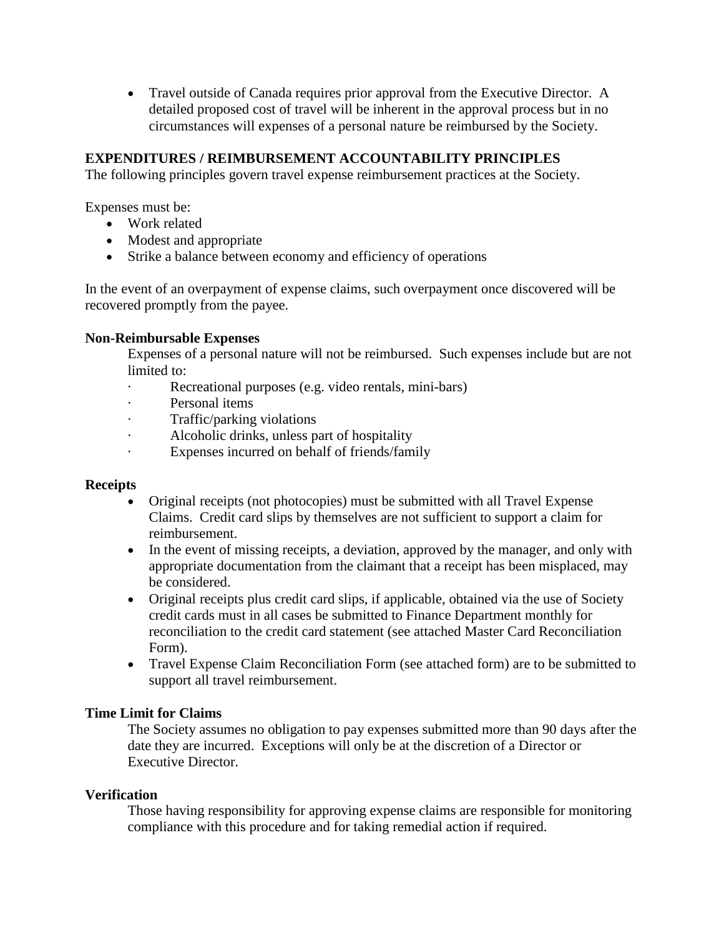• Travel outside of Canada requires prior approval from the Executive Director. A detailed proposed cost of travel will be inherent in the approval process but in no circumstances will expenses of a personal nature be reimbursed by the Society.

## **EXPENDITURES / REIMBURSEMENT ACCOUNTABILITY PRINCIPLES**

The following principles govern travel expense reimbursement practices at the Society.

Expenses must be:

- Work related
- Modest and appropriate
- Strike a balance between economy and efficiency of operations

In the event of an overpayment of expense claims, such overpayment once discovered will be recovered promptly from the payee.

## **Non-Reimbursable Expenses**

Expenses of a personal nature will not be reimbursed. Such expenses include but are not limited to:

- · Recreational purposes (e.g. video rentals, mini-bars)
- Personal items
- · Traffic/parking violations
- · Alcoholic drinks, unless part of hospitality
- · Expenses incurred on behalf of friends/family

## **Receipts**

- Original receipts (not photocopies) must be submitted with all Travel Expense Claims. Credit card slips by themselves are not sufficient to support a claim for reimbursement.
- In the event of missing receipts, a deviation, approved by the manager, and only with appropriate documentation from the claimant that a receipt has been misplaced, may be considered.
- Original receipts plus credit card slips, if applicable, obtained via the use of Society credit cards must in all cases be submitted to Finance Department monthly for reconciliation to the credit card statement (see attached Master Card Reconciliation Form).
- Travel Expense Claim Reconciliation Form (see attached form) are to be submitted to support all travel reimbursement.

## **Time Limit for Claims**

The Society assumes no obligation to pay expenses submitted more than 90 days after the date they are incurred. Exceptions will only be at the discretion of a Director or Executive Director.

## **Verification**

Those having responsibility for approving expense claims are responsible for monitoring compliance with this procedure and for taking remedial action if required.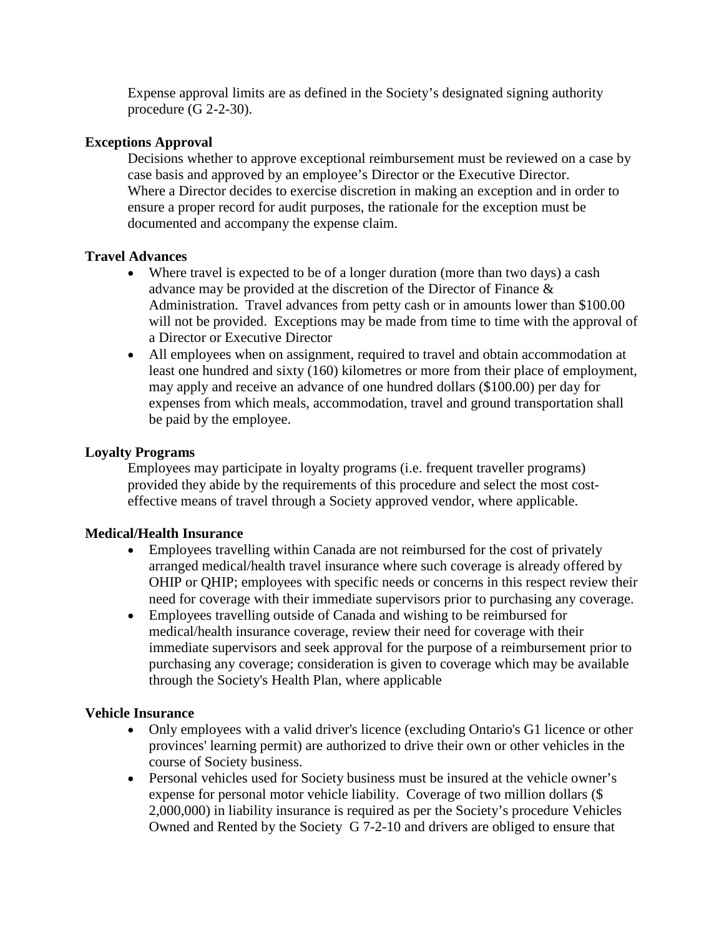Expense approval limits are as defined in the Society's designated signing authority procedure (G 2-2-30).

## **Exceptions Approval**

Decisions whether to approve exceptional reimbursement must be reviewed on a case by case basis and approved by an employee's Director or the Executive Director. Where a Director decides to exercise discretion in making an exception and in order to ensure a proper record for audit purposes, the rationale for the exception must be documented and accompany the expense claim.

## **Travel Advances**

- Where travel is expected to be of a longer duration (more than two days) a cash advance may be provided at the discretion of the Director of Finance & Administration. Travel advances from petty cash or in amounts lower than \$100.00 will not be provided. Exceptions may be made from time to time with the approval of a Director or Executive Director
- All employees when on assignment, required to travel and obtain accommodation at least one hundred and sixty (160) kilometres or more from their place of employment, may apply and receive an advance of one hundred dollars (\$100.00) per day for expenses from which meals, accommodation, travel and ground transportation shall be paid by the employee.

## **Loyalty Programs**

Employees may participate in loyalty programs (i.e. frequent traveller programs) provided they abide by the requirements of this procedure and select the most costeffective means of travel through a Society approved vendor, where applicable.

## **Medical/Health Insurance**

- Employees travelling within Canada are not reimbursed for the cost of privately arranged medical/health travel insurance where such coverage is already offered by OHIP or QHIP; employees with specific needs or concerns in this respect review their need for coverage with their immediate supervisors prior to purchasing any coverage.
- Employees travelling outside of Canada and wishing to be reimbursed for medical/health insurance coverage, review their need for coverage with their immediate supervisors and seek approval for the purpose of a reimbursement prior to purchasing any coverage; consideration is given to coverage which may be available through the Society's Health Plan, where applicable

## **Vehicle Insurance**

- Only employees with a valid driver's licence (excluding Ontario's G1 licence or other provinces' learning permit) are authorized to drive their own or other vehicles in the course of Society business.
- Personal vehicles used for Society business must be insured at the vehicle owner's expense for personal motor vehicle liability. Coverage of two million dollars (\$ 2,000,000) in liability insurance is required as per the Society's procedure Vehicles Owned and Rented by the Society G 7-2-10 and drivers are obliged to ensure that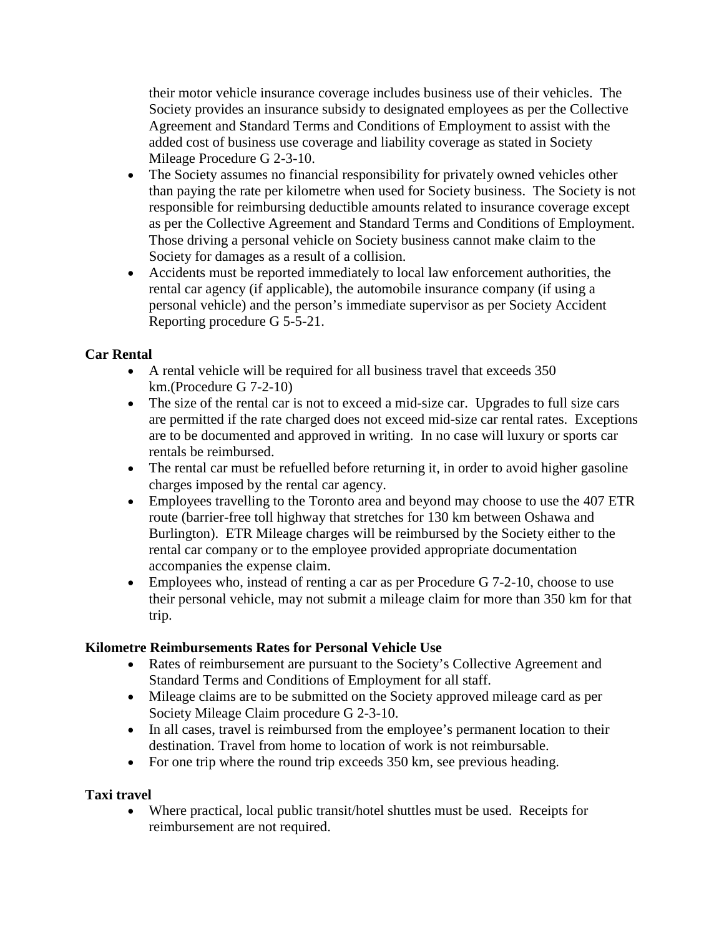their motor vehicle insurance coverage includes business use of their vehicles. The Society provides an insurance subsidy to designated employees as per the Collective Agreement and Standard Terms and Conditions of Employment to assist with the added cost of business use coverage and liability coverage as stated in Society Mileage Procedure G 2-3-10.

- The Society assumes no financial responsibility for privately owned vehicles other than paying the rate per kilometre when used for Society business. The Society is not responsible for reimbursing deductible amounts related to insurance coverage except as per the Collective Agreement and Standard Terms and Conditions of Employment. Those driving a personal vehicle on Society business cannot make claim to the Society for damages as a result of a collision.
- Accidents must be reported immediately to local law enforcement authorities, the rental car agency (if applicable), the automobile insurance company (if using a personal vehicle) and the person's immediate supervisor as per Society Accident Reporting procedure G 5-5-21.

## **Car Rental**

- A rental vehicle will be required for all business travel that exceeds 350 km.(Procedure G 7-2-10)
- The size of the rental car is not to exceed a mid-size car. Upgrades to full size cars are permitted if the rate charged does not exceed mid-size car rental rates. Exceptions are to be documented and approved in writing. In no case will luxury or sports car rentals be reimbursed.
- The rental car must be refuelled before returning it, in order to avoid higher gasoline charges imposed by the rental car agency.
- Employees travelling to the Toronto area and beyond may choose to use the 407 ETR route (barrier-free toll highway that stretches for 130 km between Oshawa and Burlington). ETR Mileage charges will be reimbursed by the Society either to the rental car company or to the employee provided appropriate documentation accompanies the expense claim.
- Employees who, instead of renting a car as per Procedure G 7-2-10, choose to use their personal vehicle, may not submit a mileage claim for more than 350 km for that trip.

## **Kilometre Reimbursements Rates for Personal Vehicle Use**

- Rates of reimbursement are pursuant to the Society's Collective Agreement and Standard Terms and Conditions of Employment for all staff.
- Mileage claims are to be submitted on the Society approved mileage card as per Society Mileage Claim procedure G 2-3-10.
- In all cases, travel is reimbursed from the employee's permanent location to their destination. Travel from home to location of work is not reimbursable.
- For one trip where the round trip exceeds 350 km, see previous heading.

## **Taxi travel**

• Where practical, local public transit/hotel shuttles must be used. Receipts for reimbursement are not required.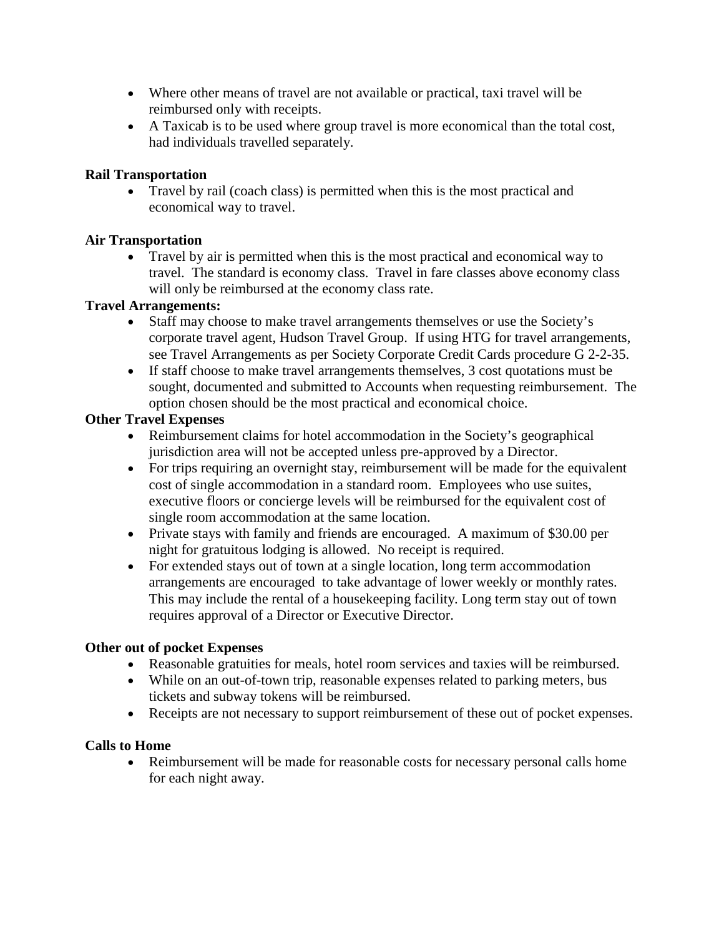- Where other means of travel are not available or practical, taxi travel will be reimbursed only with receipts.
- A Taxicab is to be used where group travel is more economical than the total cost, had individuals travelled separately.

## **Rail Transportation**

• Travel by rail (coach class) is permitted when this is the most practical and economical way to travel.

## **Air Transportation**

• Travel by air is permitted when this is the most practical and economical way to travel. The standard is economy class. Travel in fare classes above economy class will only be reimbursed at the economy class rate.

## **Travel Arrangements:**

- Staff may choose to make travel arrangements themselves or use the Society's corporate travel agent, Hudson Travel Group. If using HTG for travel arrangements, see Travel Arrangements as per Society Corporate Credit Cards procedure G 2-2-35.
- If staff choose to make travel arrangements themselves, 3 cost quotations must be sought, documented and submitted to Accounts when requesting reimbursement. The option chosen should be the most practical and economical choice.

## **Other Travel Expenses**

- Reimbursement claims for hotel accommodation in the Society's geographical jurisdiction area will not be accepted unless pre-approved by a Director.
- For trips requiring an overnight stay, reimbursement will be made for the equivalent cost of single accommodation in a standard room. Employees who use suites, executive floors or concierge levels will be reimbursed for the equivalent cost of single room accommodation at the same location.
- Private stays with family and friends are encouraged. A maximum of \$30.00 per night for gratuitous lodging is allowed. No receipt is required.
- For extended stays out of town at a single location, long term accommodation arrangements are encouraged to take advantage of lower weekly or monthly rates. This may include the rental of a housekeeping facility. Long term stay out of town requires approval of a Director or Executive Director.

## **Other out of pocket Expenses**

- Reasonable gratuities for meals, hotel room services and taxies will be reimbursed.
- While on an out-of-town trip, reasonable expenses related to parking meters, bus tickets and subway tokens will be reimbursed.
- Receipts are not necessary to support reimbursement of these out of pocket expenses.

## **Calls to Home**

• Reimbursement will be made for reasonable costs for necessary personal calls home for each night away.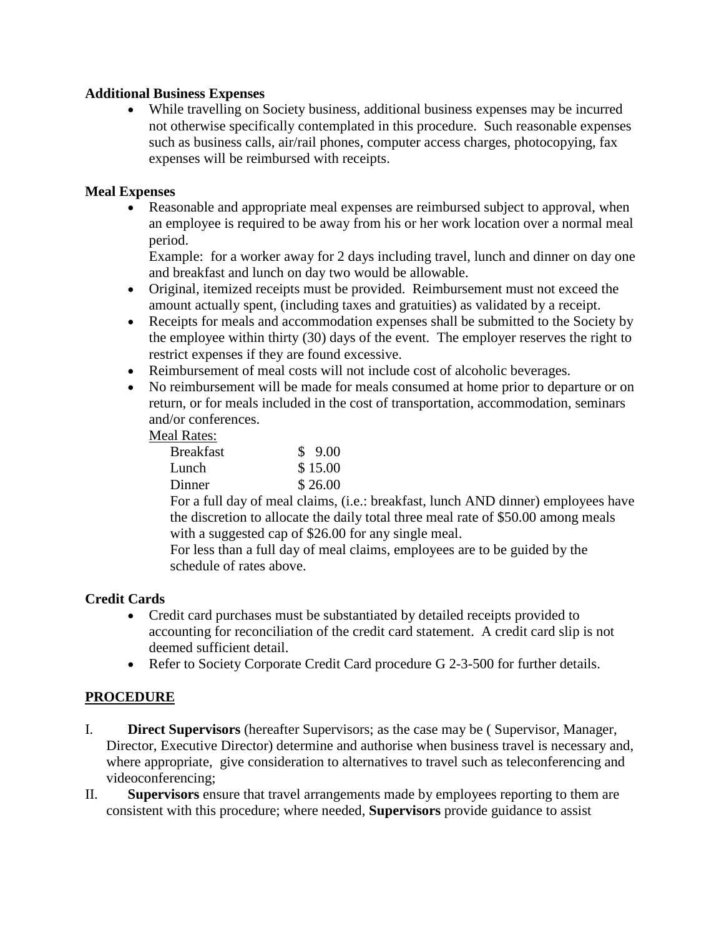## **Additional Business Expenses**

While travelling on Society business, additional business expenses may be incurred not otherwise specifically contemplated in this procedure. Such reasonable expenses such as business calls, air/rail phones, computer access charges, photocopying, fax expenses will be reimbursed with receipts.

## **Meal Expenses**

• Reasonable and appropriate meal expenses are reimbursed subject to approval, when an employee is required to be away from his or her work location over a normal meal period.

Example: for a worker away for 2 days including travel, lunch and dinner on day one and breakfast and lunch on day two would be allowable.

- Original, itemized receipts must be provided. Reimbursement must not exceed the amount actually spent, (including taxes and gratuities) as validated by a receipt.
- Receipts for meals and accommodation expenses shall be submitted to the Society by the employee within thirty (30) days of the event. The employer reserves the right to restrict expenses if they are found excessive.
- Reimbursement of meal costs will not include cost of alcoholic beverages.
- No reimbursement will be made for meals consumed at home prior to departure or on return, or for meals included in the cost of transportation, accommodation, seminars and/or conferences.

Meal Rates:

| <b>Breakfast</b> | \$9.00  |
|------------------|---------|
| Lunch            | \$15.00 |
| Dinner           | \$26.00 |

For a full day of meal claims, (i.e.: breakfast, lunch AND dinner) employees have the discretion to allocate the daily total three meal rate of \$50.00 among meals with a suggested cap of \$26.00 for any single meal.

For less than a full day of meal claims, employees are to be guided by the schedule of rates above.

#### **Credit Cards**

- Credit card purchases must be substantiated by detailed receipts provided to accounting for reconciliation of the credit card statement. A credit card slip is not deemed sufficient detail.
- Refer to Society Corporate Credit Card procedure G 2-3-500 for further details.

## **PROCEDURE**

- I. **Direct Supervisors** (hereafter Supervisors; as the case may be ( Supervisor, Manager, Director, Executive Director) determine and authorise when business travel is necessary and, where appropriate, give consideration to alternatives to travel such as teleconferencing and videoconferencing;
- II. **Supervisors** ensure that travel arrangements made by employees reporting to them are consistent with this procedure; where needed, **Supervisors** provide guidance to assist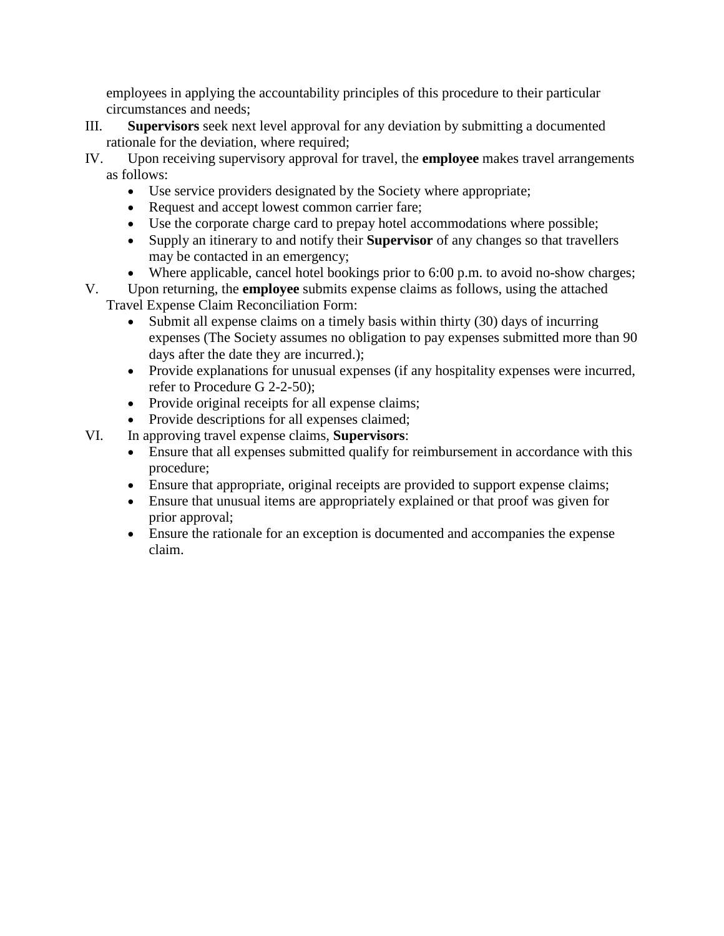employees in applying the accountability principles of this procedure to their particular circumstances and needs;

- III. **Supervisors** seek next level approval for any deviation by submitting a documented rationale for the deviation, where required;
- IV. Upon receiving supervisory approval for travel, the **employee** makes travel arrangements as follows:
	- Use service providers designated by the Society where appropriate;
	- Request and accept lowest common carrier fare;
	- Use the corporate charge card to prepay hotel accommodations where possible;
	- Supply an itinerary to and notify their **Supervisor** of any changes so that travellers may be contacted in an emergency;
	- Where applicable, cancel hotel bookings prior to 6:00 p.m. to avoid no-show charges;
- V. Upon returning, the **employee** submits expense claims as follows, using the attached Travel Expense Claim Reconciliation Form:
	- Submit all expense claims on a timely basis within thirty (30) days of incurring expenses (The Society assumes no obligation to pay expenses submitted more than 90 days after the date they are incurred.);
	- Provide explanations for unusual expenses (if any hospitality expenses were incurred, refer to Procedure G 2-2-50);
	- Provide original receipts for all expense claims;
	- Provide descriptions for all expenses claimed;
- VI. In approving travel expense claims, **Supervisors**:
	- Ensure that all expenses submitted qualify for reimbursement in accordance with this procedure;
	- Ensure that appropriate, original receipts are provided to support expense claims;
	- Ensure that unusual items are appropriately explained or that proof was given for prior approval;
	- Ensure the rationale for an exception is documented and accompanies the expense claim.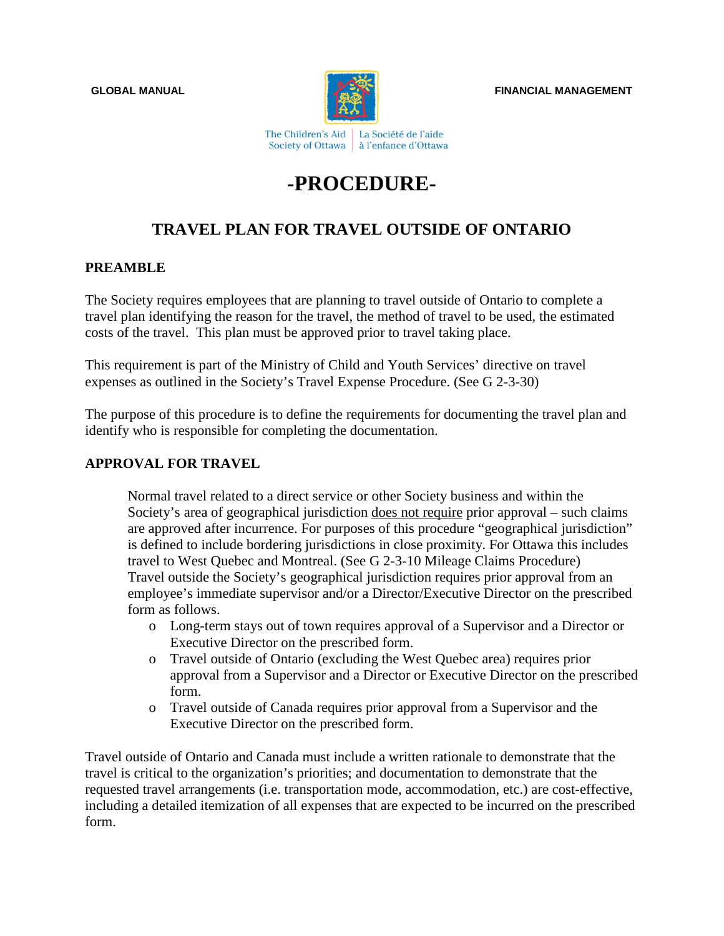

# **-PROCEDURE-**

## **TRAVEL PLAN FOR TRAVEL OUTSIDE OF ONTARIO**

#### **PREAMBLE**

The Society requires employees that are planning to travel outside of Ontario to complete a travel plan identifying the reason for the travel, the method of travel to be used, the estimated costs of the travel. This plan must be approved prior to travel taking place.

This requirement is part of the Ministry of Child and Youth Services' directive on travel expenses as outlined in the Society's Travel Expense Procedure. (See G 2-3-30)

The purpose of this procedure is to define the requirements for documenting the travel plan and identify who is responsible for completing the documentation.

#### **APPROVAL FOR TRAVEL**

Normal travel related to a direct service or other Society business and within the Society's area of geographical jurisdiction does not require prior approval – such claims are approved after incurrence. For purposes of this procedure "geographical jurisdiction" is defined to include bordering jurisdictions in close proximity. For Ottawa this includes travel to West Quebec and Montreal. (See G 2-3-10 Mileage Claims Procedure) Travel outside the Society's geographical jurisdiction requires prior approval from an employee's immediate supervisor and/or a Director/Executive Director on the prescribed form as follows.

- o Long-term stays out of town requires approval of a Supervisor and a Director or Executive Director on the prescribed form.
- o Travel outside of Ontario (excluding the West Quebec area) requires prior approval from a Supervisor and a Director or Executive Director on the prescribed form.
- o Travel outside of Canada requires prior approval from a Supervisor and the Executive Director on the prescribed form.

Travel outside of Ontario and Canada must include a written rationale to demonstrate that the travel is critical to the organization's priorities; and documentation to demonstrate that the requested travel arrangements (i.e. transportation mode, accommodation, etc.) are cost-effective, including a detailed itemization of all expenses that are expected to be incurred on the prescribed form.